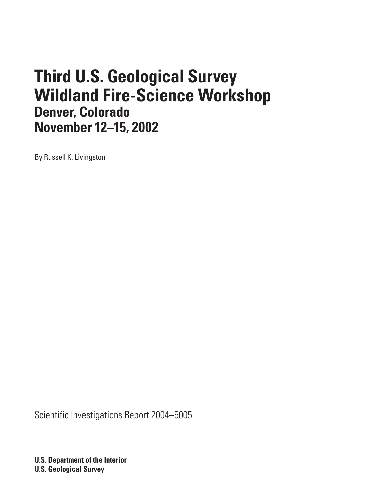# **Third U.S. Geological Survey Wildland Fire-Science Workshop Denver, Colorado November 12–15, 2002**

By Russell K. Livingston

Scientific Investigations Report 2004–5005

**U.S. Department of the Interior U.S. Geological Survey**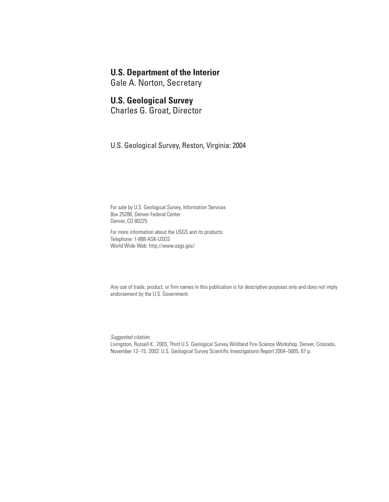### **U.S. Department of the Interior**

Gale A. Norton, Secretary

## **U.S. Geological Survey**

Charles G. Groat, Director

U.S. Geological Survey, Reston, Virginia: 2004

For sale by U.S. Geological Survey, Information Services Box 25286, Denver Federal Center Denver, CO 80225

For more information about the USGS and its products: Telephone: 1-888-ASK-USGS World Wide Web: http://www.usgs.gov/

Any use of trade, product, or firm names in this publication is for descriptive purposes only and does not imply endorsement by the U.S. Government.

*Suggested citation:*

Livingston, Russell K., 2003, Third U.S. Geological Survey Wildland Fire-Science Workshop, Denver, Colorado, November 12–15, 2002: U.S. Geological Survey Scientific Investigations Report 2004–5005, 67 p.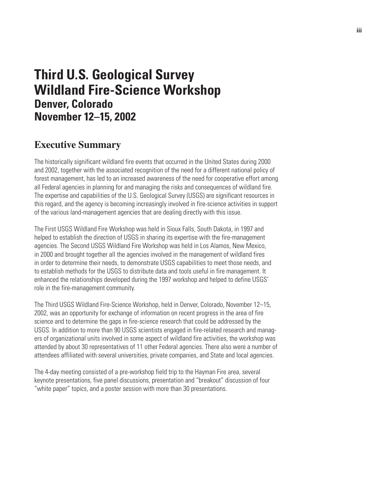# **Third U.S. Geological Survey Wildland Fire-Science Workshop Denver, Colorado November 12–15, 2002**

## **Executive Summary**

The historically significant wildland fire events that occurred in the United States during 2000 and 2002, together with the associated recognition of the need for a different national policy of forest management, has led to an increased awareness of the need for cooperative effort among all Federal agencies in planning for and managing the risks and consequences of wildland fire. The expertise and capabilities of the U.S. Geological Survey (USGS) are significant resources in this regard, and the agency is becoming increasingly involved in fire-science activities in support of the various land-management agencies that are dealing directly with this issue.

The First USGS Wildland Fire Workshop was held in Sioux Falls, South Dakota, in 1997 and helped to establish the direction of USGS in sharing its expertise with the fire-management agencies. The Second USGS Wildland Fire Workshop was held in Los Alamos, New Mexico, in 2000 and brought together all the agencies involved in the management of wildland fires in order to determine their needs, to demonstrate USGS capabilities to meet those needs, and to establish methods for the USGS to distribute data and tools useful in fire management. It enhanced the relationships developed during the 1997 workshop and helped to define USGS' role in the fire-management community.

The Third USGS Wildland Fire-Science Workshop, held in Denver, Colorado, November 12–15, 2002, was an opportunity for exchange of information on recent progress in the area of fire science and to determine the gaps in fire-science research that could be addressed by the USGS. In addition to more than 90 USGS scientists engaged in fire-related research and managers of organizational units involved in some aspect of wildland fire activities, the workshop was attended by about 30 representatives of 11 other Federal agencies. There also were a number of attendees affiliated with several universities, private companies, and State and local agencies.

The 4-day meeting consisted of a pre-workshop field trip to the Hayman Fire area, several keynote presentations, five panel discussions, presentation and "breakout" discussion of four "white paper" topics, and a poster session with more than 30 presentations.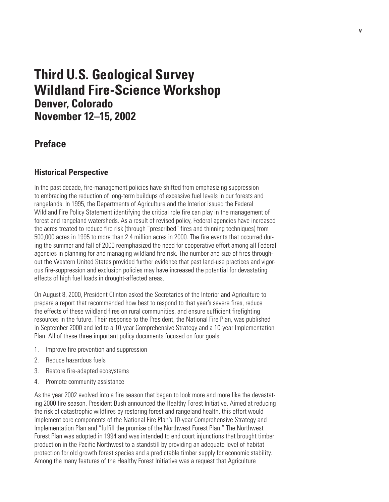# **Third U.S. Geological Survey Wildland Fire-Science Workshop Denver, Colorado November 12–15, 2002**

## **Preface**

### **Historical Perspective**

In the past decade, fire-management policies have shifted from emphasizing suppression to embracing the reduction of long-term buildups of excessive fuel levels in our forests and rangelands. In 1995, the Departments of Agriculture and the Interior issued the Federal Wildland Fire Policy Statement identifying the critical role fire can play in the management of forest and rangeland watersheds. As a result of revised policy, Federal agencies have increased the acres treated to reduce fire risk (through "prescribed" fires and thinning techniques) from 500,000 acres in 1995 to more than 2.4 million acres in 2000. The fire events that occurred during the summer and fall of 2000 reemphasized the need for cooperative effort among all Federal agencies in planning for and managing wildland fire risk. The number and size of fires throughout the Western United States provided further evidence that past land-use practices and vigorous fire-suppression and exclusion policies may have increased the potential for devastating effects of high fuel loads in drought-affected areas.

On August 8, 2000, President Clinton asked the Secretaries of the Interior and Agriculture to prepare a report that recommended how best to respond to that year's severe fires, reduce the effects of these wildland fires on rural communities, and ensure sufficient firefighting resources in the future. Their response to the President, the National Fire Plan, was published in September 2000 and led to a 10-year Comprehensive Strategy and a 10-year Implementation Plan. All of these three important policy documents focused on four goals:

- 1. Improve fire prevention and suppression
- 2. Reduce hazardous fuels
- 3. Restore fire-adapted ecosystems
- 4. Promote community assistance

As the year 2002 evolved into a fire season that began to look more and more like the devastating 2000 fire season, President Bush announced the Healthy Forest Initiative. Aimed at reducing the risk of catastrophic wildfires by restoring forest and rangeland health, this effort would implement core components of the National Fire Plan's 10-year Comprehensive Strategy and Implementation Plan and "fulfill the promise of the Northwest Forest Plan." The Northwest Forest Plan was adopted in 1994 and was intended to end court injunctions that brought timber production in the Pacific Northwest to a standstill by providing an adequate level of habitat protection for old growth forest species and a predictable timber supply for economic stability. Among the many features of the Healthy Forest Initiative was a request that Agriculture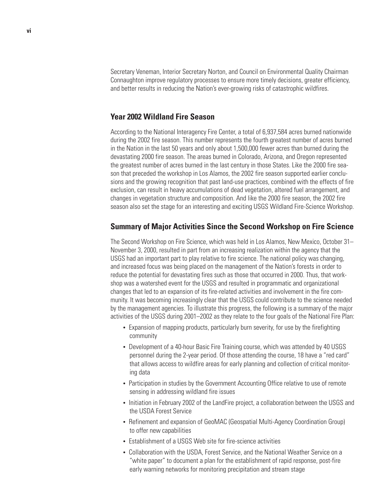Secretary Veneman, Interior Secretary Norton, and Council on Environmental Quality Chairman Connaughton improve regulatory processes to ensure more timely decisions, greater efficiency, and better results in reducing the Nation's ever-growing risks of catastrophic wildfires.

### **Year 2002 Wildland Fire Season**

According to the National Interagency Fire Center, a total of 6,937,584 acres burned nationwide during the 2002 fire season. This number represents the fourth greatest number of acres burned in the Nation in the last 50 years and only about 1,500,000 fewer acres than burned during the devastating 2000 fire season. The areas burned in Colorado, Arizona, and Oregon represented the greatest number of acres burned in the last century in those States. Like the 2000 fire season that preceded the workshop in Los Alamos, the 2002 fire season supported earlier conclusions and the growing recognition that past land-use practices, combined with the effects of fire exclusion, can result in heavy accumulations of dead vegetation, altered fuel arrangement, and changes in vegetation structure and composition. And like the 2000 fire season, the 2002 fire season also set the stage for an interesting and exciting USGS Wildland Fire-Science Workshop.

#### **Summary of Major Activities Since the Second Workshop on Fire Science**

The Second Workshop on Fire Science, which was held in Los Alamos, New Mexico, October 31– November 3, 2000, resulted in part from an increasing realization within the agency that the USGS had an important part to play relative to fire science. The national policy was changing, and increased focus was being placed on the management of the Nation's forests in order to reduce the potential for devastating fires such as those that occurred in 2000. Thus, that workshop was a watershed event for the USGS and resulted in programmatic and organizational changes that led to an expansion of its fire-related activities and involvement in the fire community. It was becoming increasingly clear that the USGS could contribute to the science needed by the management agencies. To illustrate this progress, the following is a summary of the major activities of the USGS during 2001–2002 as they relate to the four goals of the National Fire Plan:

- **•** Expansion of mapping products, particularly burn severity, for use by the firefighting community
- **•** Development of a 40-hour Basic Fire Training course, which was attended by 40 USGS personnel during the 2-year period. Of those attending the course, 18 have a "red card" that allows access to wildfire areas for early planning and collection of critical monitoring data
- **•** Participation in studies by the Government Accounting Office relative to use of remote sensing in addressing wildland fire issues
- **•** Initiation in February 2002 of the LandFire project, a collaboration between the USGS and the USDA Forest Service
- **•** Refinement and expansion of GeoMAC (Geospatial Multi-Agency Coordination Group) to offer new capabilities
- **•** Establishment of a USGS Web site for fire-science activities
- **•** Collaboration with the USDA, Forest Service, and the National Weather Service on a "white paper" to document a plan for the establishment of rapid response, post-fire early warning networks for monitoring precipitation and stream stage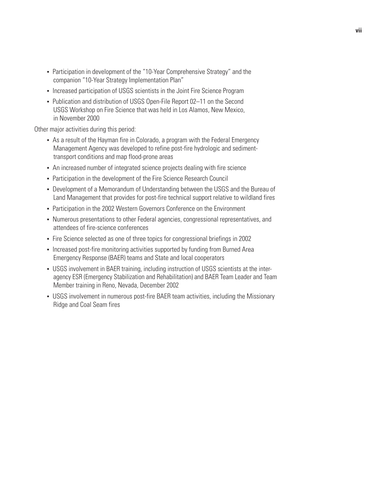- **•** Participation in development of the "10-Year Comprehensive Strategy" and the companion "10-Year Strategy Implementation Plan"
- **•** Increased participation of USGS scientists in the Joint Fire Science Program
- **•** Publication and distribution of USGS Open-File Report 02–11 on the Second USGS Workshop on Fire Science that was held in Los Alamos, New Mexico, in November 2000

Other major activities during this period:

- **•** As a result of the Hayman fire in Colorado, a program with the Federal Emergency Management Agency was developed to refine post-fire hydrologic and sedimenttransport conditions and map flood-prone areas
- **•** An increased number of integrated science projects dealing with fire science
- Participation in the development of the Fire Science Research Council
- **•** Development of a Memorandum of Understanding between the USGS and the Bureau of Land Management that provides for post-fire technical support relative to wildland fires
- **•** Participation in the 2002 Western Governors Conference on the Environment
- **•** Numerous presentations to other Federal agencies, congressional representatives, and attendees of fire-science conferences
- **•** Fire Science selected as one of three topics for congressional briefings in 2002
- **•** Increased post-fire monitoring activities supported by funding from Burned Area Emergency Response (BAER) teams and State and local cooperators
- **•** USGS involvement in BAER training, including instruction of USGS scientists at the interagency ESR (Emergency Stabilization and Rehabilitation) and BAER Team Leader and Team Member training in Reno, Nevada, December 2002
- **•** USGS involvement in numerous post-fire BAER team activities, including the Missionary Ridge and Coal Seam fires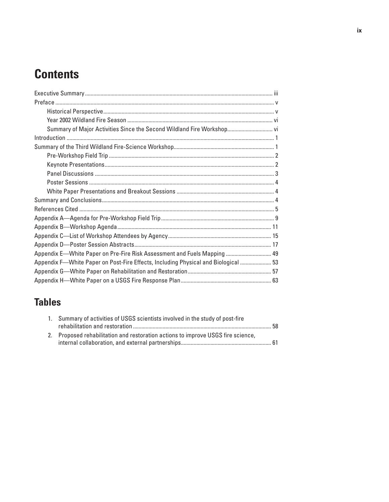# **Contents**

| Summary of Major Activities Since the Second Wildland Fire Workshop vi             |  |
|------------------------------------------------------------------------------------|--|
|                                                                                    |  |
|                                                                                    |  |
|                                                                                    |  |
|                                                                                    |  |
|                                                                                    |  |
|                                                                                    |  |
|                                                                                    |  |
|                                                                                    |  |
|                                                                                    |  |
|                                                                                    |  |
|                                                                                    |  |
|                                                                                    |  |
|                                                                                    |  |
| Appendix E—White Paper on Pre-Fire Risk Assessment and Fuels Mapping  49           |  |
| Appendix F-White Paper on Post-Fire Effects, Including Physical and Biological  53 |  |
|                                                                                    |  |
|                                                                                    |  |

# **Tables**

| 1. Summary of activities of USGS scientists involved in the study of post-fire   |  |
|----------------------------------------------------------------------------------|--|
|                                                                                  |  |
| 2. Proposed rehabilitation and restoration actions to improve USGS fire science, |  |
|                                                                                  |  |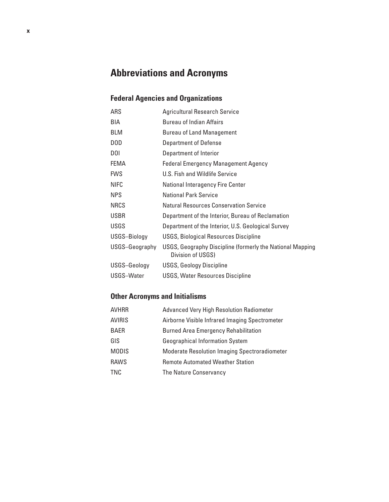# **Abbreviations and Acronyms**

## **Federal Agencies and Organizations**

| <b>ARS</b>     | <b>Agricultural Research Service</b>                                           |
|----------------|--------------------------------------------------------------------------------|
| BIA            | <b>Bureau of Indian Affairs</b>                                                |
| <b>BLM</b>     | <b>Bureau of Land Management</b>                                               |
| DOD            | <b>Department of Defense</b>                                                   |
| DOI            | Department of Interior                                                         |
| FEMA           | <b>Federal Emergency Management Agency</b>                                     |
| <b>FWS</b>     | U.S. Fish and Wildlife Service                                                 |
| <b>NIFC</b>    | <b>National Interagency Fire Center</b>                                        |
| <b>NPS</b>     | National Park Service                                                          |
| <b>NRCS</b>    | <b>Natural Resources Conservation Service</b>                                  |
| <b>USBR</b>    | Department of the Interior, Bureau of Reclamation                              |
| <b>USGS</b>    | Department of the Interior, U.S. Geological Survey                             |
| USGS-Biology   | USGS, Biological Resources Discipline                                          |
| USGS-Geography | USGS, Geography Discipline (formerly the National Mapping<br>Division of USGS) |
| USGS-Geology   | <b>USGS, Geology Discipline</b>                                                |
| USGS-Water     | <b>USGS, Water Resources Discipline</b>                                        |

### **Other Acronyms and Initialisms**

| AVHRR         | <b>Advanced Very High Resolution Radiometer</b>      |
|---------------|------------------------------------------------------|
| <b>AVIRIS</b> | Airborne Visible Infrared Imaging Spectrometer       |
| BAER          | <b>Burned Area Emergency Rehabilitation</b>          |
| GIS           | <b>Geographical Information System</b>               |
| <b>MODIS</b>  | <b>Moderate Resolution Imaging Spectroradiometer</b> |
| <b>RAWS</b>   | <b>Remote Automated Weather Station</b>              |
| TNC           | The Nature Conservancy                               |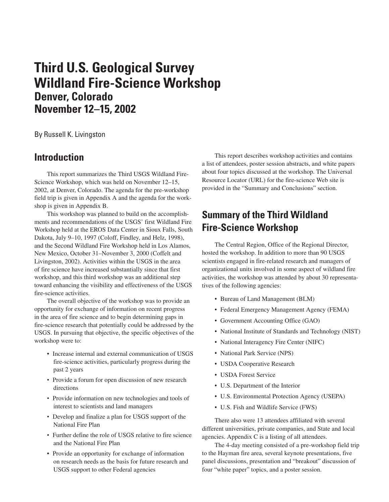# **Third U.S. Geological Survey Wildland Fire-Science Workshop Denver, Colorado November 12–15, 2002**

By Russell K. Livingston

## **Introduction**

This report summarizes the Third USGS Wildland Fire-Science Workshop, which was held on November 12–15, 2002, at Denver, Colorado. The agenda for the pre-workshop field trip is given in Appendix A and the agenda for the workshop is given in Appendix B.

This workshop was planned to build on the accomplishments and recommendations of the USGS' first Wildland Fire Workshop held at the EROS Data Center in Sioux Falls, South Dakota, July 9–10, 1997 (Coloff, Findley, and Helz, 1998), and the Second Wildland Fire Workshop held in Los Alamos, New Mexico, October 31–November 3, 2000 (Coffelt and Livingston, 2002). Activities within the USGS in the area of fire science have increased substantially since that first workshop, and this third workshop was an additional step toward enhancing the visibility and effectiveness of the USGS fire-science activities.

The overall objective of the workshop was to provide an opportunity for exchange of information on recent progress in the area of fire science and to begin determining gaps in fire-science research that potentially could be addressed by the USGS. In pursuing that objective, the specific objectives of the workshop were to:

- Increase internal and external communication of USGS fire-science activities, particularly progress during the past 2 years
- Provide a forum for open discussion of new research directions
- Provide information on new technologies and tools of interest to scientists and land managers
- Develop and finalize a plan for USGS support of the National Fire Plan
- Further define the role of USGS relative to fire science and the National Fire Plan
- Provide an opportunity for exchange of information on research needs as the basis for future research and USGS support to other Federal agencies

This report describes workshop activities and contains a list of attendees, poster session abstracts, and white papers about four topics discussed at the workshop. The Universal Resource Locator (URL) for the fire-science Web site is provided in the "Summary and Conclusions" section.

## **Summary of the Third Wildland Fire-Science Workshop**

The Central Region, Office of the Regional Director, hosted the workshop. In addition to more than 90 USGS scientists engaged in fire-related research and managers of organizational units involved in some aspect of wildland fire activities, the workshop was attended by about 30 representatives of the following agencies:

- Bureau of Land Management (BLM)
- Federal Emergency Management Agency (FEMA)
- Government Accounting Office (GAO)
- National Institute of Standards and Technology (NIST)
- National Interagency Fire Center (NIFC)
- National Park Service (NPS)
- USDA Cooperative Research
- USDA Forest Service
- U.S. Department of the Interior
- U.S. Environmental Protection Agency (USEPA)
- U.S. Fish and Wildlife Service (FWS)

There also were 13 attendees affiliated with several different universities, private companies, and State and local agencies. Appendix C is a listing of all attendees.

The 4-day meeting consisted of a pre-workshop field trip to the Hayman fire area, several keynote presentations, five panel discussions, presentation and "breakout" discussion of four "white paper" topics, and a poster session.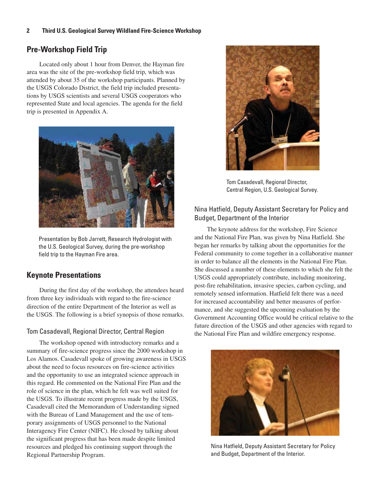#### **2 Third U.S. Geological Survey Wildland Fire-Science Workshop**

### **Pre-Workshop Field Trip**

Located only about 1 hour from Denver, the Hayman fire area was the site of the pre-workshop field trip, which was attended by about 35 of the workshop participants. Planned by the USGS Colorado District, the field trip included presentations by USGS scientists and several USGS cooperators who represented State and local agencies. The agenda for the field trip is presented in Appendix A.



Presentation by Bob Jarrett, Research Hydrologist with the U.S. Geological Survey, during the pre-workshop field trip to the Hayman Fire area.

### **Keynote Presentations**

During the first day of the workshop, the attendees heard from three key individuals with regard to the fire-science direction of the entire Department of the Interior as well as the USGS. The following is a brief synopsis of those remarks.

#### Tom Casadevall, Regional Director, Central Region

The workshop opened with introductory remarks and a summary of fire-science progress since the 2000 workshop in Los Alamos. Casadevall spoke of growing awareness in USGS about the need to focus resources on fire-science activities and the opportunity to use an integrated science approach in this regard. He commented on the National Fire Plan and the role of science in the plan, which he felt was well suited for the USGS. To illustrate recent progress made by the USGS, Casadevall cited the Memorandum of Understanding signed with the Bureau of Land Management and the use of temporary assignments of USGS personnel to the National Interagency Fire Center (NIFC). He closed by talking about the significant progress that has been made despite limited resources and pledged his continuing support through the Regional Partnership Program.



Tom Casadevall, Regional Director, Central Region, U.S. Geological Survey.

#### Nina Hatfield, Deputy Assistant Secretary for Policy and Budget, Department of the Interior

The keynote address for the workshop, Fire Science and the National Fire Plan, was given by Nina Hatfield. She began her remarks by talking about the opportunities for the Federal community to come together in a collaborative manner in order to balance all the elements in the National Fire Plan. She discussed a number of these elements to which she felt the USGS could appropriately contribute, including monitoring, post-fire rehabilitation, invasive species, carbon cycling, and remotely sensed information. Hatfield felt there was a need for increased accountability and better measures of performance, and she suggested the upcoming evaluation by the Government Accounting Office would be critical relative to the future direction of the USGS and other agencies with regard to the National Fire Plan and wildfire emergency response.



Nina Hatfield, Deputy Assistant Secretary for Policy and Budget, Department of the Interior.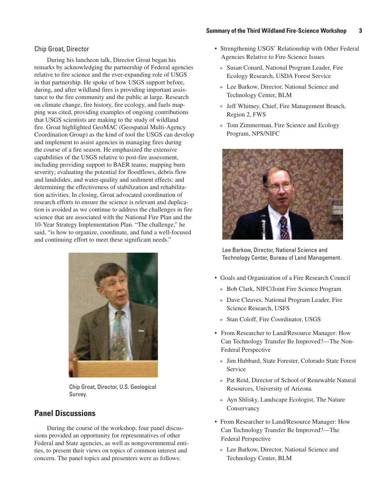#### **Summary of the Third Wildland Fire-Science Workshop 3**

#### Chip Groat, Director

During his luncheon talk, Director Groat began his remarks by acknowledging the partnership of Federal agencies relative to fire science and the ever-expanding role of USGS in that partnership. He spoke of how USGS support before, during, and after wildland fires is providing important assistance to the fire community and the public at large. Research on climate change, fire history, fire ecology, and fuels mapping was cited, providing examples of ongoing contributions that USGS scientists are making to the study of wildland fire. Groat highlighted GeoMAC (Geospatial Multi-Agency Coordination Group) as the kind of tool the USGS can develop and implement to assist agencies in managing fires during the course of a fire season. He emphasized the extensive capabilities of the USGS relative to post-fire assessment, including providing support to BAER teams; mapping burn severity; evaluating the potential for floodflows, debris flow and landslides, and water-quality and sediment effects; and determining the effectiveness of stabilization and rehabilitation activities. In closing, Groat advocated coordination of research efforts to ensure the science is relevant and duplication is avoided as we continue to address the challenges in fire science that are associated with the National Fire Plan and the 10-Year Strategy Implementation Plan. "The challenge," he said, "is how to organize, coordinate, and fund a well-focused and continuing effort to meet these significant needs."



Chip Groat, Director, U.S. Geological Survey.

### **Panel Discussions**

During the course of the workshop, four panel discussions provided an opportunity for representatives of other Federal and State agencies, as well as nongovernmental entities, to present their views on topics of common interest and concern. The panel topics and presenters were as follows:

- Strengthening USGS' Relationship with Other Federal Agencies Relative to Fire-Science Issues
	- º Susan Conard, National Program Leader, Fire Ecology Research, USDA Forest Service
	- º Lee Barkow, Director, National Science and Technology Center, BLM
	- º Jeff Whitney, Chief, Fire Management Branch, Region 2, FWS
	- º Tom Zimmerman, Fire Science and Ecology Program, NPS/NIFC



Lee Barkow, Director, National Science and Technology Center, Bureau of Land Management.

- Goals and Organization of a Fire Research Council
	- º Bob Clark, NIFC/Joint Fire Science Program
	- º Dave Cleaves, National Program Leader, Fire Science Research, USFS
	- º Stan Coloff, Fire Coordinator, USGS
- From Researcher to Land/Resource Manager: How Can Technology Transfer Be Improved?—The Non-Federal Perspective
	- º Jim Hubbard, State Forester, Colorado State Forest Service
	- º Pat Reid, Director of School of Renewable Natural Resources, University of Arizona
	- º Ayn Shlisky, Landscape Ecologist, The Nature Conservancy
- From Researcher to Land/Resource Manager: How Can Technology Transfer Be Improved?—The Federal Perspective
	- º Lee Barkow, Director, National Science and Technology Center, BLM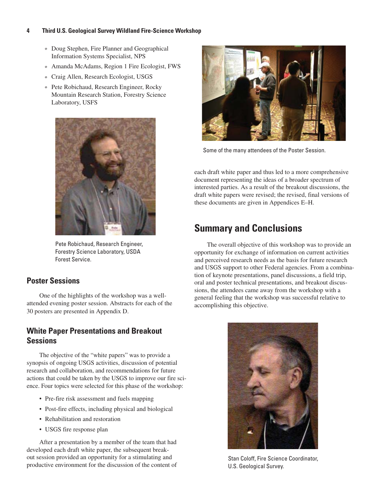#### **4 Third U.S. Geological Survey Wildland Fire-Science Workshop**

- º Doug Stephen, Fire Planner and Geographical Information Systems Specialist, NPS
- º Amanda McAdams, Region 1 Fire Ecologist, FWS
- º Craig Allen, Research Ecologist, USGS
- º Pete Robichaud, Research Engineer, Rocky Mountain Research Station, Forestry Science Laboratory, USFS



Pete Robichaud, Research Engineer, Forestry Science Laboratory, USDA Forest Service.

### **Poster Sessions**

One of the highlights of the workshop was a wellattended evening poster session. Abstracts for each of the 30 posters are presented in Appendix D.

### **White Paper Presentations and Breakout Sessions**

The objective of the "white papers" was to provide a synopsis of ongoing USGS activities, discussion of potential research and collaboration, and recommendations for future actions that could be taken by the USGS to improve our fire science. Four topics were selected for this phase of the workshop:

- Pre-fire risk assessment and fuels mapping
- Post-fire effects, including physical and biological
- Rehabilitation and restoration
- USGS fire response plan

After a presentation by a member of the team that had developed each draft white paper, the subsequent breakout session provided an opportunity for a stimulating and productive environment for the discussion of the content of



Some of the many attendees of the Poster Session.

each draft white paper and thus led to a more comprehensive document representing the ideas of a broader spectrum of interested parties. As a result of the breakout discussions, the draft white papers were revised; the revised, final versions of these documents are given in Appendices E–H.

## **Summary and Conclusions**

The overall objective of this workshop was to provide an opportunity for exchange of information on current activities and perceived research needs as the basis for future research and USGS support to other Federal agencies. From a combination of keynote presentations, panel discussions, a field trip, oral and poster technical presentations, and breakout discussions, the attendees came away from the workshop with a general feeling that the workshop was successful relative to accomplishing this objective.



Stan Coloff, Fire Science Coordinator, U.S. Geological Survey.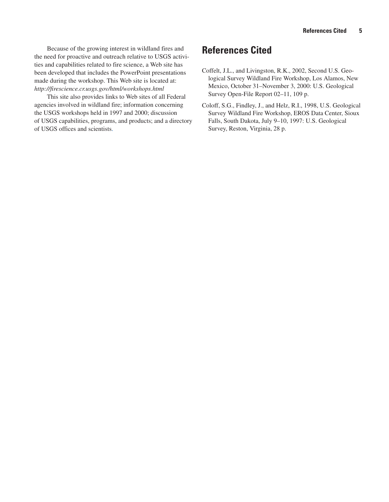Because of the growing interest in wildland fires and the need for proactive and outreach relative to USGS activities and capabilities related to fire science, a Web site has been developed that includes the PowerPoint presentations made during the workshop. This Web site is located at: *http://firescience.cr.usgs.gov/html/workshops.html*

This site also provides links to Web sites of all Federal agencies involved in wildland fire; information concerning the USGS workshops held in 1997 and 2000; discussion of USGS capabilities, programs, and products; and a directory of USGS offices and scientists.

## **References Cited**

- Coffelt, J.L., and Livingston, R.K., 2002, Second U.S. Geological Survey Wildland Fire Workshop, Los Alamos, New Mexico, October 31–November 3, 2000: U.S. Geological Survey Open-File Report 02–11, 109 p.
- Coloff, S.G., Findley, J., and Helz, R.I., 1998, U.S. Geological Survey Wildland Fire Workshop, EROS Data Center, Sioux Falls, South Dakota, July 9–10, 1997: U.S. Geological Survey, Reston, Virginia, 28 p.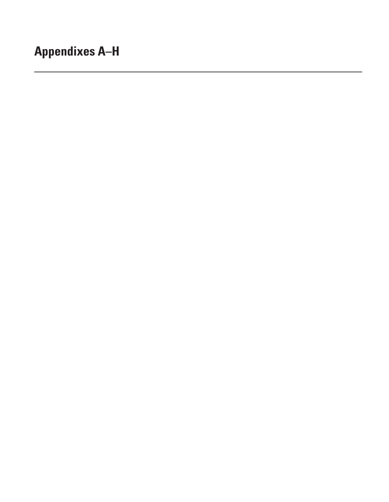# **Appendixes A–H**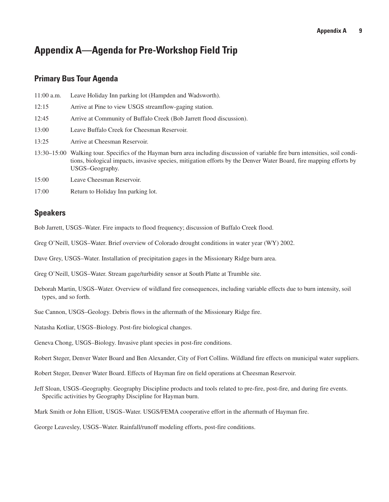## **Appendix A—Agenda for Pre-Workshop Field Trip**

#### **Primary Bus Tour Agenda**

| $11:00$ a.m. | Leave Holiday Inn parking lot (Hampden and Wadsworth).                                                                                                                                                                                                                   |
|--------------|--------------------------------------------------------------------------------------------------------------------------------------------------------------------------------------------------------------------------------------------------------------------------|
| 12:15        | Arrive at Pine to view USGS streamflow-gaging station.                                                                                                                                                                                                                   |
| 12:45        | Arrive at Community of Buffalo Creek (Bob Jarrett flood discussion).                                                                                                                                                                                                     |
| 13:00        | Leave Buffalo Creek for Cheesman Reservoir.                                                                                                                                                                                                                              |
| 13:25        | Arrive at Cheesman Reservoir.                                                                                                                                                                                                                                            |
|              | 13:30–15:00 Walking tour. Specifics of the Hayman burn area including discussion of variable fire burn intensities, soil condi-<br>tions, biological impacts, invasive species, mitigation efforts by the Denver Water Board, fire mapping efforts by<br>USGS-Geography. |

- 15:00 Leave Cheesman Reservoir.
- 17:00 Return to Holiday Inn parking lot.

#### **Speakers**

Bob Jarrett, USGS–Water. Fire impacts to flood frequency; discussion of Buffalo Creek flood.

- Greg O'Neill, USGS–Water. Brief overview of Colorado drought conditions in water year (WY) 2002.
- Dave Grey, USGS–Water. Installation of precipitation gages in the Missionary Ridge burn area.
- Greg O'Neill, USGS–Water. Stream gage/turbidity sensor at South Platte at Trumble site.
- Deborah Martin, USGS–Water. Overview of wildland fire consequences, including variable effects due to burn intensity, soil types, and so forth.
- Sue Cannon, USGS–Geology. Debris flows in the aftermath of the Missionary Ridge fire.
- Natasha Kotliar, USGS–Biology. Post-fire biological changes.
- Geneva Chong, USGS–Biology. Invasive plant species in post-fire conditions.
- Robert Steger, Denver Water Board and Ben Alexander, City of Fort Collins. Wildland fire effects on municipal water suppliers.
- Robert Steger, Denver Water Board. Effects of Hayman fire on field operations at Cheesman Reservoir.
- Jeff Sloan, USGS–Geography. Geography Discipline products and tools related to pre-fire, post-fire, and during fire events. Specific activities by Geography Discipline for Hayman burn.
- Mark Smith or John Elliott, USGS–Water. USGS/FEMA cooperative effort in the aftermath of Hayman fire.
- George Leavesley, USGS–Water. Rainfall/runoff modeling efforts, post-fire conditions.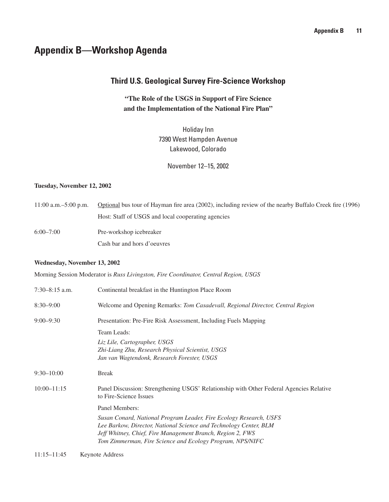## **Appendix B—Workshop Agenda**

### **Third U.S. Geological Survey Fire-Science Workshop**

**"The Role of the USGS in Support of Fire Science and the Implementation of the National Fire Plan"**

> Holiday Inn 7390 West Hampden Avenue Lakewood, Colorado

> > November 12–15, 2002

#### **Tuesday, November 12, 2002**

11:00 a.m.–5:00 p.m. Optional bus tour of Hayman fire area (2002), including review of the nearby Buffalo Creek fire (1996) Host: Staff of USGS and local cooperating agencies 6:00–7:00 Pre-workshop icebreaker Cash bar and hors d'oeuvres

#### **Wednesday, November 13, 2002**

Morning Session Moderator is *Russ Livingston, Fire Coordinator, Central Region, USGS*

| 7:30-8:15 a.m.  | Continental breakfast in the Huntington Place Room                                                                                                                                                                                                                 |  |
|-----------------|--------------------------------------------------------------------------------------------------------------------------------------------------------------------------------------------------------------------------------------------------------------------|--|
| $8:30 - 9:00$   | Welcome and Opening Remarks: Tom Casadevall, Regional Director, Central Region                                                                                                                                                                                     |  |
| $9:00 - 9:30$   | Presentation: Pre-Fire Risk Assessment, Including Fuels Mapping                                                                                                                                                                                                    |  |
|                 | Team Leads:                                                                                                                                                                                                                                                        |  |
|                 | Liz Lile, Cartographer, USGS                                                                                                                                                                                                                                       |  |
|                 | Zhi-Liang Zhu, Research Physical Scientist, USGS                                                                                                                                                                                                                   |  |
|                 | Jan van Wagtendonk, Research Forester, USGS                                                                                                                                                                                                                        |  |
| $9:30 - 10:00$  | <b>Break</b>                                                                                                                                                                                                                                                       |  |
| $10:00 - 11:15$ | Panel Discussion: Strengthening USGS' Relationship with Other Federal Agencies Relative<br>to Fire-Science Issues                                                                                                                                                  |  |
|                 | Panel Members:                                                                                                                                                                                                                                                     |  |
|                 | Susan Conard, National Program Leader, Fire Ecology Research, USFS<br>Lee Barkow, Director, National Science and Technology Center, BLM<br>Jeff Whitney, Chief, Fire Management Branch, Region 2, FWS<br>Tom Zimmerman, Fire Science and Ecology Program, NPS/NIFC |  |

11:15–11:45 Keynote Address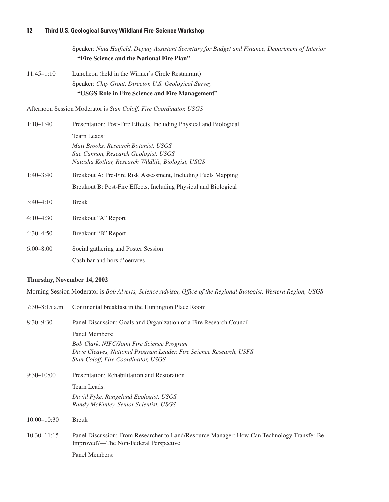Speaker: *Nina Hatfield, Deputy Assistant Secretary for Budget and Finance, Department of Interior* **"Fire Science and the National Fire Plan"**

11:45–1:10 Luncheon (held in the Winner's Circle Restaurant) Speaker: *Chip Groat, Director, U.S. Geological Survey* **"USGS Role in Fire Science and Fire Management"**

Afternoon Session Moderator is *Stan Coloff, Fire Coordinator, USGS*

| $1:10-1:40$   | Presentation: Post-Fire Effects, Including Physical and Biological |
|---------------|--------------------------------------------------------------------|
|               | Team Leads:                                                        |
|               | Matt Brooks, Research Botanist, USGS                               |
|               | Sue Cannon, Research Geologist, USGS                               |
|               | Natasha Kotliar, Research Wildlife, Biologist, USGS                |
| $1:40 - 3:40$ | Breakout A: Pre-Fire Risk Assessment, Including Fuels Mapping      |
|               | Breakout B: Post-Fire Effects, Including Physical and Biological   |
| $3:40-4:10$   | <b>Break</b>                                                       |
| $4:10-4:30$   | Breakout "A" Report                                                |
| $4:30-4:50$   | Breakout "B" Report                                                |
|               |                                                                    |
| $6:00 - 8:00$ | Social gathering and Poster Session                                |
|               | Cash bar and hors d'oeuvres                                        |

#### **Thursday, November 14, 2002**

Morning Session Moderator is *Bob Alverts, Science Advisor, Office of the Regional Biologist, Western Region, USGS*

|                 | 7:30–8:15 a.m. Continental breakfast in the Huntington Place Room                                                                   |
|-----------------|-------------------------------------------------------------------------------------------------------------------------------------|
| $8:30 - 9:30$   | Panel Discussion: Goals and Organization of a Fire Research Council                                                                 |
|                 | Panel Members:                                                                                                                      |
|                 | Bob Clark, NIFC/Joint Fire Science Program                                                                                          |
|                 | Dave Cleaves, National Program Leader, Fire Science Research, USFS                                                                  |
|                 | Stan Coloff, Fire Coordinator, USGS                                                                                                 |
| $9:30 - 10:00$  | Presentation: Rehabilitation and Restoration                                                                                        |
|                 | Team Leads:                                                                                                                         |
|                 | David Pyke, Rangeland Ecologist, USGS                                                                                               |
|                 | Randy McKinley, Senior Scientist, USGS                                                                                              |
| $10:00 - 10:30$ | <b>Break</b>                                                                                                                        |
| $10:30 - 11:15$ | Panel Discussion: From Researcher to Land/Resource Manager: How Can Technology Transfer Be<br>Improved?—The Non-Federal Perspective |
|                 | Panel Members:                                                                                                                      |
|                 |                                                                                                                                     |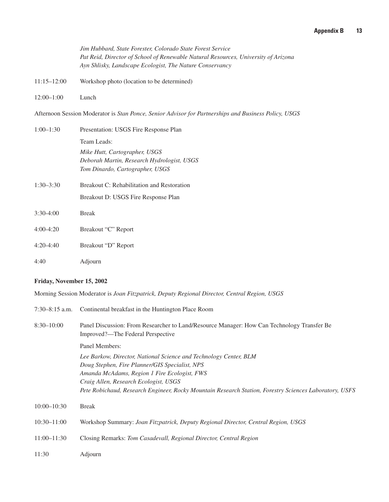*Jim Hubbard, State Forester, Colorado State Forest Service Pat Reid, Director of School of Renewable Natural Resources, University of Arizona Ayn Shlisky, Landscape Ecologist, The Nature Conservancy*

- 11:15–12:00 Workshop photo (location to be determined)
- 12:00–1:00 Lunch

Afternoon Session Moderator is *Stan Ponce, Senior Advisor for Partnerships and Business Policy, USGS*

| $1:00-1:30$   | Presentation: USGS Fire Response Plan      |
|---------------|--------------------------------------------|
|               | Team Leads:                                |
|               | Mike Hutt, Cartographer, USGS              |
|               | Deborah Martin, Research Hydrologist, USGS |
|               | Tom Dinardo, Cartographer, USGS            |
| $1:30 - 3:30$ | Breakout C: Rehabilitation and Restoration |
|               | Breakout D: USGS Fire Response Plan        |
| $3:30-4:00$   | <b>Break</b>                               |
| $4:00-4:20$   | Breakout "C" Report                        |
|               |                                            |
| $4:20-4:40$   | Breakout "D" Report                        |
| 4:40          | Adjourn                                    |
|               |                                            |

#### **Friday, November 15, 2002**

Morning Session Moderator is *Joan Fitzpatrick, Deputy Regional Director, Central Region, USGS*

| $7:30-8:15$ a.m. | Continental breakfast in the Huntington Place Room                                                                              |
|------------------|---------------------------------------------------------------------------------------------------------------------------------|
| $8:30 - 10:00$   | Panel Discussion: From Researcher to Land/Resource Manager: How Can Technology Transfer Be<br>Improved?—The Federal Perspective |
|                  | Panel Members:                                                                                                                  |
|                  | Lee Barkow, Director, National Science and Technology Center, BLM                                                               |
|                  | Doug Stephen, Fire Planner/GIS Specialist, NPS                                                                                  |
|                  | Amanda McAdams, Region 1 Fire Ecologist, FWS                                                                                    |
|                  | Craig Allen, Research Ecologist, USGS                                                                                           |
|                  | Pete Robichaud, Research Engineer, Rocky Mountain Research Station, Forestry Sciences Laboratory, USFS                          |
| $10:00 - 10:30$  | <b>Break</b>                                                                                                                    |
| $10:30 - 11:00$  | Workshop Summary: Joan Fitzpatrick, Deputy Regional Director, Central Region, USGS                                              |
| $11:00 - 11:30$  | Closing Remarks: Tom Casadevall, Regional Director, Central Region                                                              |
| 11:30            | Adjourn                                                                                                                         |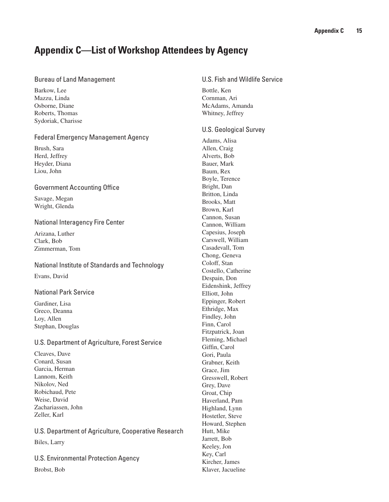## **Appendix C—List of Workshop Attendees by Agency**

#### Bureau of Land Management

Barkow, Lee Mazzu, Linda Osborne, Diane Roberts, Thomas Sydoriak, Charisse

#### Federal Emergency Management Agency

Brush, Sara Herd, Jeffrey Heyder, Diana Liou, John

#### Government Accounting Office

Savage, Megan Wright, Glenda

#### National Interagency Fire Center

Arizana, Luther Clark, Bob Zimmerman, Tom

National Institute of Standards and Technology Evans, David

#### National Park Service

Gardiner, Lisa Greco, Deanna Loy, Allen Stephan, Douglas

#### U.S. Department of Agriculture, Forest Service

Cleaves, Dave Conard, Susan Garcia, Herman Lannom, Keith Nikolov, Ned Robichaud, Pete Weise, David Zachariassen, John Zeller, Karl

U.S. Department of Agriculture, Cooperative Research Biles, Larry

U.S. Environmental Protection Agency Brobst, Bob

### U.S. Fish and Wildlife Service

Bottle, Ken Cornman, Ari McAdams, Amanda Whitney, Jeffrey

#### U.S. Geological Survey

Adams, Alisa Allen, Craig Alverts, Bob Bauer, Mark Baum, Rex Boyle, Terence Bright, Dan Britton, Linda Brooks, Matt Brown, Karl Cannon, Susan Cannon, William Capesius, Joseph Carswell, William Casadevall, Tom Chong, Geneva Coloff, Stan Costello, Catherine Despain, Don Eidenshink, Jeffrey Elliott, John Eppinger, Robert Ethridge, Max Findley, John Finn, Carol Fitzpatrick, Joan Fleming, Michael Giffin, Carol Gori, Paula Grabner, Keith Grace, Jim Gresswell, Robert Grey, Dave Groat, Chip Haverland, Pam Highland, Lynn Hostetler, Steve Howard, Stephen Hutt, Mike Jarrett, Bob Keeley, Jon Key, Carl Kircher, James Klaver, Jacueline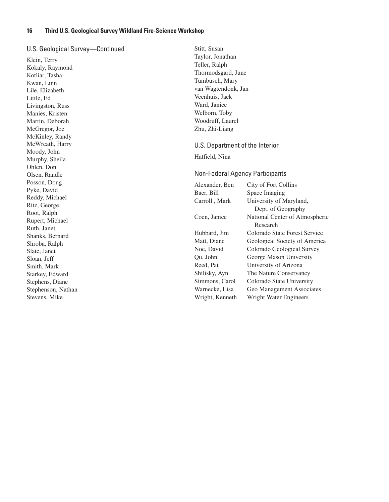#### U.S. Geological Survey—Continued

Klein, Terry Kokaly, Raymond Kotliar, Tasha Kwan, Linn Lile, Elizabeth Little, Ed Livingston, Russ Manies, Kristen Martin, Deborah McGregor, Joe McKinley, Randy McWreath, Harry Moody, John Murphy, Sheila Ohlen, Don Olsen, Randle Posson, Doug Pyke, David Reddy, Michael Ritz, George Root, Ralph Rupert, Michael Ruth, Janet Shanks, Bernard Shroba, Ralph Slate, Janet Sloan, Jeff Smith, Mark Starkey, Edward Stephens, Diane Stephenson, Nathan Stevens, Mike

Stitt, Susan Taylor, Jonathan Teller, Ralph Thormodsgard, June Tumbusch, Mary van Wagtendonk, Jan Veenhuis, Jack Ward, Janice Welborn, Toby Woodruff, Laurel Zhu, Zhi-Liang

#### U.S. Department of the Interior

Hatfield, Nina

#### Non-Federal Agency Participants

| Alexander, Ben              | City of Fort Collins           |  |
|-----------------------------|--------------------------------|--|
| Space Imaging<br>Baer, Bill |                                |  |
| Carroll, Mark               | University of Maryland,        |  |
|                             | Dept. of Geography             |  |
| Coen, Janice                | National Center of Atmospheric |  |
|                             | Research                       |  |
| Hubbard, Jim                | Colorado State Forest Service  |  |
| Matt, Diane                 | Geological Society of America  |  |
| Noe, David                  | Colorado Geological Survey     |  |
| Qu, John                    | George Mason University        |  |
| Reed, Pat                   | University of Arizona          |  |
| Shilisky, Ayn               | The Nature Conservancy         |  |
| Simmons, Carol              | Colorado State University      |  |
| Warnecke, Lisa              | Geo Management Associates      |  |
| Wright, Kenneth             | Wright Water Engineers         |  |
|                             |                                |  |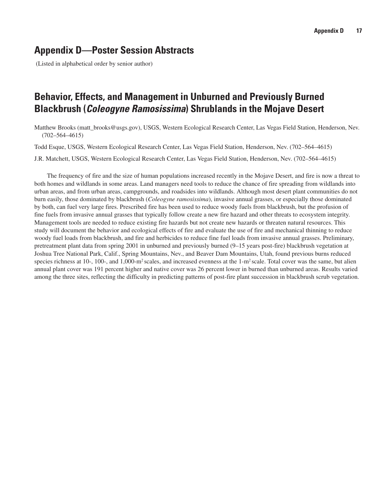## **Appendix D—Poster Session Abstracts**

(Listed in alphabetical order by senior author)

## **Behavior, Effects, and Management in Unburned and Previously Burned Blackbrush (***Coleogyne Ramosissima***) Shrublands in the Mojave Desert**

Matthew Brooks (matt\_brooks@usgs.gov), USGS, Western Ecological Research Center, Las Vegas Field Station, Henderson, Nev. (702–564–4615)

Todd Esque, USGS, Western Ecological Research Center, Las Vegas Field Station, Henderson, Nev. (702–564–4615)

J.R. Matchett, USGS, Western Ecological Research Center, Las Vegas Field Station, Henderson, Nev. (702–564–4615)

The frequency of fire and the size of human populations increased recently in the Mojave Desert, and fire is now a threat to both homes and wildlands in some areas. Land managers need tools to reduce the chance of fire spreading from wildlands into urban areas, and from urban areas, campgrounds, and roadsides into wildlands. Although most desert plant communities do not burn easily, those dominated by blackbrush (*Coleogyne ramosissima*), invasive annual grasses, or especially those dominated by both, can fuel very large fires. Prescribed fire has been used to reduce woody fuels from blackbrush, but the profusion of fine fuels from invasive annual grasses that typically follow create a new fire hazard and other threats to ecosystem integrity. Management tools are needed to reduce existing fire hazards but not create new hazards or threaten natural resources. This study will document the behavior and ecological effects of fire and evaluate the use of fire and mechanical thinning to reduce woody fuel loads from blackbrush, and fire and herbicides to reduce fine fuel loads from invasive annual grasses. Preliminary, pretreatment plant data from spring 2001 in unburned and previously burned (9–15 years post-fire) blackbrush vegetation at Joshua Tree National Park, Calif., Spring Mountains, Nev., and Beaver Dam Mountains, Utah, found previous burns reduced species richness at  $10-$ ,  $100-$ , and  $1,000-$ m<sup>2</sup> scales, and increased evenness at the  $1-m^2$  scale. Total cover was the same, but alien annual plant cover was 191 percent higher and native cover was 26 percent lower in burned than unburned areas. Results varied among the three sites, reflecting the difficulty in predicting patterns of post-fire plant succession in blackbrush scrub vegetation.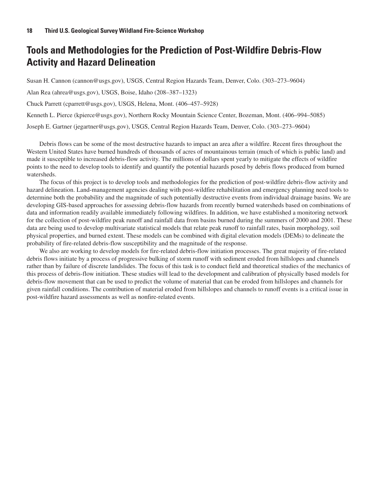## **Tools and Methodologies for the Prediction of Post-Wildfire Debris-Flow Activity and Hazard Delineation**

Susan H. Cannon (cannon@usgs.gov), USGS, Central Region Hazards Team, Denver, Colo. (303–273–9604)

Alan Rea (ahrea@usgs.gov), USGS, Boise, Idaho (208–387–1323)

Chuck Parrett (cparrett@usgs.gov), USGS, Helena, Mont. (406–457–5928)

Kenneth L. Pierce (kpierce@usgs.gov), Northern Rocky Mountain Science Center, Bozeman, Mont. (406–994–5085)

Joseph E. Gartner (jegartner@usgs.gov), USGS, Central Region Hazards Team, Denver, Colo. (303–273–9604)

Debris flows can be some of the most destructive hazards to impact an area after a wildfire. Recent fires throughout the Western United States have burned hundreds of thousands of acres of mountainous terrain (much of which is public land) and made it susceptible to increased debris-flow activity. The millions of dollars spent yearly to mitigate the effects of wildfire points to the need to develop tools to identify and quantify the potential hazards posed by debris flows produced from burned watersheds.

The focus of this project is to develop tools and methodologies for the prediction of post-wildfire debris-flow activity and hazard delineation. Land-management agencies dealing with post-wildfire rehabilitation and emergency planning need tools to determine both the probability and the magnitude of such potentially destructive events from individual drainage basins. We are developing GIS-based approaches for assessing debris-flow hazards from recently burned watersheds based on combinations of data and information readily available immediately following wildfires. In addition, we have established a monitoring network for the collection of post-wildfire peak runoff and rainfall data from basins burned during the summers of 2000 and 2001. These data are being used to develop multivariate statistical models that relate peak runoff to rainfall rates, basin morphology, soil physical properties, and burned extent. These models can be combined with digital elevation models (DEMs) to delineate the probability of fire-related debris-flow susceptibility and the magnitude of the response.

We also are working to develop models for fire-related debris-flow initiation processes. The great majority of fire-related debris flows initiate by a process of progressive bulking of storm runoff with sediment eroded from hillslopes and channels rather than by failure of discrete landslides. The focus of this task is to conduct field and theoretical studies of the mechanics of this process of debris-flow initiation. These studies will lead to the development and calibration of physically based models for debris-flow movement that can be used to predict the volume of material that can be eroded from hillslopes and channels for given rainfall conditions. The contribution of material eroded from hillslopes and channels to runoff events is a critical issue in post-wildfire hazard assessments as well as nonfire-related events.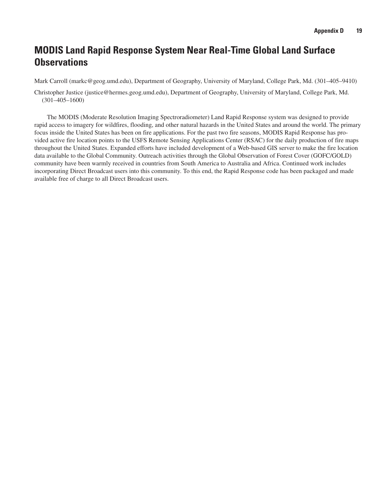## **MODIS Land Rapid Response System Near Real-Time Global Land Surface Observations**

Mark Carroll (markc@geog.umd.edu), Department of Geography, University of Maryland, College Park, Md. (301–405–9410)

Christopher Justice (justice@hermes.geog.umd.edu), Department of Geography, University of Maryland, College Park, Md. (301–405–1600)

The MODIS (Moderate Resolution Imaging Spectroradiometer) Land Rapid Response system was designed to provide rapid access to imagery for wildfires, flooding, and other natural hazards in the United States and around the world. The primary focus inside the United States has been on fire applications. For the past two fire seasons, MODIS Rapid Response has provided active fire location points to the USFS Remote Sensing Applications Center (RSAC) for the daily production of fire maps throughout the United States. Expanded efforts have included development of a Web-based GIS server to make the fire location data available to the Global Community. Outreach activities through the Global Observation of Forest Cover (GOFC/GOLD) community have been warmly received in countries from South America to Australia and Africa. Continued work includes incorporating Direct Broadcast users into this community. To this end, the Rapid Response code has been packaged and made available free of charge to all Direct Broadcast users.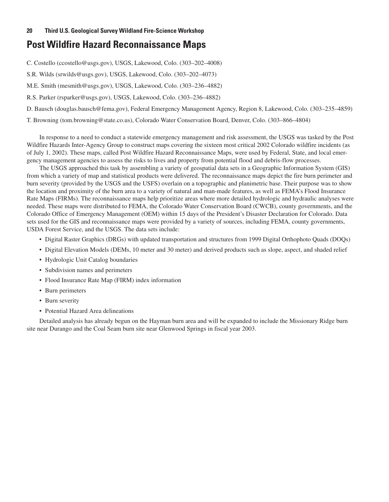## **Post Wildfire Hazard Reconnaissance Maps**

C. Costello (ccostello@usgs.gov), USGS, Lakewood, Colo. (303–202–4008)

S.R. Wilds (srwilds@usgs.gov), USGS, Lakewood, Colo. (303–202–4073)

M.E. Smith (mesmith@usgs.gov), USGS, Lakewood, Colo. (303–236–4882)

R.S. Parker (rsparker@usgs.gov), USGS, Lakewood, Colo. (303–236–4882)

D. Bausch (douglas.bausch@fema.gov), Federal Emergency Management Agency, Region 8, Lakewood, Colo. (303–235–4859)

T. Browning (tom.browning@state.co.us), Colorado Water Conservation Board, Denver, Colo. (303–866–4804)

In response to a need to conduct a statewide emergency management and risk assessment, the USGS was tasked by the Post Wildfire Hazards Inter-Agency Group to construct maps covering the sixteen most critical 2002 Colorado wildfire incidents (as of July 1, 2002). These maps, called Post Wildfire Hazard Reconnaissance Maps, were used by Federal, State, and local emergency management agencies to assess the risks to lives and property from potential flood and debris-flow processes.

The USGS approached this task by assembling a variety of geospatial data sets in a Geographic Information System (GIS) from which a variety of map and statistical products were delivered. The reconnaissance maps depict the fire burn perimeter and burn severity (provided by the USGS and the USFS) overlain on a topographic and planimetric base. Their purpose was to show the location and proximity of the burn area to a variety of natural and man-made features, as well as FEMA's Flood Insurance Rate Maps (FIRMs). The reconnaissance maps help prioritize areas where more detailed hydrologic and hydraulic analyses were needed. These maps were distributed to FEMA, the Colorado Water Conservation Board (CWCB), county governments, and the Colorado Office of Emergency Management (OEM) within 15 days of the President's Disaster Declaration for Colorado. Data sets used for the GIS and reconnaissance maps were provided by a variety of sources, including FEMA, county governments, USDA Forest Service, and the USGS. The data sets include:

- Digital Raster Graphics (DRGs) with updated transportation and structures from 1999 Digital Orthophoto Quads (DOQs)
- Digital Elevation Models (DEMs, 10 meter and 30 meter) and derived products such as slope, aspect, and shaded relief
- Hydrologic Unit Catalog boundaries
- Subdivision names and perimeters
- Flood Insurance Rate Map (FIRM) index information
- Burn perimeters
- Burn severity
- Potential Hazard Area delineations

Detailed analysis has already begun on the Hayman burn area and will be expanded to include the Missionary Ridge burn site near Durango and the Coal Seam burn site near Glenwood Springs in fiscal year 2003.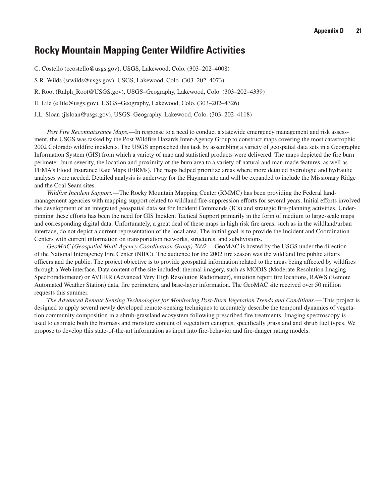### **Rocky Mountain Mapping Center Wildfire Activities**

C. Costello (ccostello@usgs.gov), USGS, Lakewood, Colo. (303–202–4008)

S.R. Wilds (srwilds@usgs.gov), USGS, Lakewood, Colo. (303–202–4073)

R. Root (Ralph\_Root@USGS.gov), USGS–Geography, Lakewood, Colo. (303–202–4339)

E. Lile (ellile@usgs.gov), USGS–Geography, Lakewood, Colo. (303–202–4326)

J.L. Sloan (jlsloan@usgs.gov), USGS–Geography, Lakewood, Colo. (303–202–4118)

*Post Fire Reconnaissance Maps.*—In response to a need to conduct a statewide emergency management and risk assessment, the USGS was tasked by the Post Wildfire Hazards Inter-Agency Group to construct maps covering the most catastrophic 2002 Colorado wildfire incidents. The USGS approached this task by assembling a variety of geospatial data sets in a Geographic Information System (GIS) from which a variety of map and statistical products were delivered. The maps depicted the fire burn perimeter, burn severity, the location and proximity of the burn area to a variety of natural and man-made features, as well as FEMA's Flood Insurance Rate Maps (FIRMs). The maps helped prioritize areas where more detailed hydrologic and hydraulic analyses were needed. Detailed analysis is underway for the Hayman site and will be expanded to include the Missionary Ridge and the Coal Seam sites.

*Wildfire Incident Support.*—The Rocky Mountain Mapping Center (RMMC) has been providing the Federal landmanagement agencies with mapping support related to wildland fire-suppression efforts for several years. Initial efforts involved the development of an integrated geospatial data set for Incident Commands (ICs) and strategic fire-planning activities. Underpinning these efforts has been the need for GIS Incident Tactical Support primarily in the form of medium to large-scale maps and corresponding digital data. Unfortunately, a great deal of these maps in high risk fire areas, such as in the wildland/urban interface, do not depict a current representation of the local area. The initial goal is to provide the Incident and Coordination Centers with current information on transportation networks, structures, and subdivisions.

*GeoMAC (Geospatial Multi-Agency Coordination Group) 2002.*—GeoMAC is hosted by the USGS under the direction of the National Interagency Fire Center (NIFC). The audience for the 2002 fire season was the wildland fire public affairs officers and the public. The project objective is to provide geospatial information related to the areas being affected by wildfires through a Web interface. Data content of the site included: thermal imagery, such as MODIS (Moderate Resolution Imaging Spectroradiometer) or AVHRR (Advanced Very High Resolution Radiometer), situation report fire locations, RAWS (Remote Automated Weather Station) data, fire perimeters, and base-layer information. The GeoMAC site received over 50 million requests this summer.

*The Advanced Remote Sensing Technologies for Monitoring Post-Burn Vegetation Trends and Conditions*.— This project is designed to apply several newly developed remote-sensing techniques to accurately describe the temporal dynamics of vegetation community composition in a shrub-grassland ecosystem following prescribed fire treatments. Imaging spectroscopy is used to estimate both the biomass and moisture content of vegetation canopies, specifically grassland and shrub fuel types. We propose to develop this state-of-the-art information as input into fire-behavior and fire-danger rating models.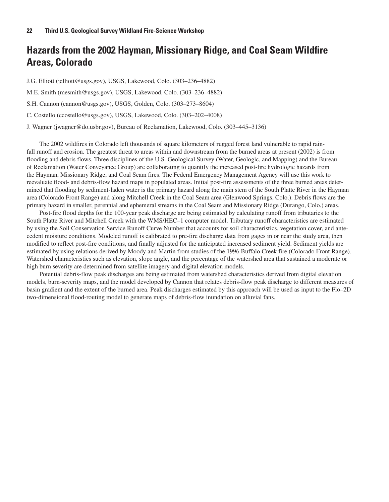## **Hazards from the 2002 Hayman, Missionary Ridge, and Coal Seam Wildfire Areas, Colorado**

J.G. Elliott (jelliott@usgs.gov), USGS, Lakewood, Colo. (303–236–4882)

M.E. Smith (mesmith@usgs.gov), USGS, Lakewood, Colo. (303–236–4882)

S.H. Cannon (cannon@usgs.gov), USGS, Golden, Colo. (303–273–8604)

C. Costello (ccostello@usgs.gov), USGS, Lakewood, Colo. (303–202–4008)

J. Wagner (jwagner@do.usbr.gov), Bureau of Reclamation, Lakewood, Colo. (303–445–3136)

The 2002 wildfires in Colorado left thousands of square kilometers of rugged forest land vulnerable to rapid rainfall runoff and erosion. The greatest threat to areas within and downstream from the burned areas at present (2002) is from flooding and debris flows. Three disciplines of the U.S. Geological Survey (Water, Geologic, and Mapping) and the Bureau of Reclamation (Water Conveyance Group) are collaborating to quantify the increased post-fire hydrologic hazards from the Hayman, Missionary Ridge, and Coal Seam fires. The Federal Emergency Management Agency will use this work to reevaluate flood- and debris-flow hazard maps in populated areas. Initial post-fire assessments of the three burned areas determined that flooding by sediment-laden water is the primary hazard along the main stem of the South Platte River in the Hayman area (Colorado Front Range) and along Mitchell Creek in the Coal Seam area (Glenwood Springs, Colo.). Debris flows are the primary hazard in smaller, perennial and ephemeral streams in the Coal Seam and Missionary Ridge (Durango, Colo.) areas.

Post-fire flood depths for the 100-year peak discharge are being estimated by calculating runoff from tributaries to the South Platte River and Mitchell Creek with the WMS/HEC–1 computer model. Tributary runoff characteristics are estimated by using the Soil Conservation Service Runoff Curve Number that accounts for soil characteristics, vegetation cover, and antecedent moisture conditions. Modeled runoff is calibrated to pre-fire discharge data from gages in or near the study area, then modified to reflect post-fire conditions, and finally adjusted for the anticipated increased sediment yield. Sediment yields are estimated by using relations derived by Moody and Martin from studies of the 1996 Buffalo Creek fire (Colorado Front Range). Watershed characteristics such as elevation, slope angle, and the percentage of the watershed area that sustained a moderate or high burn severity are determined from satellite imagery and digital elevation models.

Potential debris-flow peak discharges are being estimated from watershed characteristics derived from digital elevation models, burn-severity maps, and the model developed by Cannon that relates debris-flow peak discharge to different measures of basin gradient and the extent of the burned area. Peak discharges estimated by this approach will be used as input to the Flo–2D two-dimensional flood-routing model to generate maps of debris-flow inundation on alluvial fans.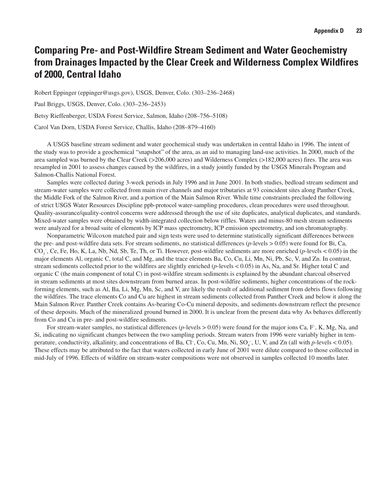## **Comparing Pre- and Post-Wildfire Stream Sediment and Water Geochemistry from Drainages Impacted by the Clear Creek and Wilderness Complex Wildfires of 2000, Central Idaho**

Robert Eppinger (eppinger@usgs.gov), USGS, Denver, Colo. (303–236–2468)

Paul Briggs, USGS, Denver, Colo. (303–236–2453)

Betsy Rieffenberger, USDA Forest Service, Salmon, Idaho (208–756–5108)

Carol Van Dorn, USDA Forest Service, Challis, Idaho (208–879–4160)

A USGS baseline stream sediment and water geochemical study was undertaken in central Idaho in 1996. The intent of the study was to provide a geochemical "snapshot" of the area, as an aid to managing land-use activities. In 2000, much of the area sampled was burned by the Clear Creek (>206,000 acres) and Wilderness Complex (>182,000 acres) fires. The area was resampled in 2001 to assess changes caused by the wildfires, in a study jointly funded by the USGS Minerals Program and Salmon-Challis National Forest.

Samples were collected during 3-week periods in July 1996 and in June 2001. In both studies, bedload stream sediment and stream-water samples were collected from main river channels and major tributaries at 93 coincident sites along Panther Creek, the Middle Fork of the Salmon River, and a portion of the Main Salmon River. While time constraints precluded the following of strict USGS Water Resources Discipline ppb-protocol water-sampling procedures, clean procedures were used throughout. Quality-assurance/quality-control concerns were addressed through the use of site duplicates, analytical duplicates, and standards. Mixed-water samples were obtained by width-integrated collection below riffles. Waters and minus-80 mesh stream sediments were analyzed for a broad suite of elements by ICP mass spectrometry, ICP emission spectrometry, and ion chromatography.

Nonparametric Wilcoxon matched pair and sign tests were used to determine statistically significant differences between the pre- and post-wildfire data sets. For stream sediments, no statistical differences (*p*-levels > 0.05) were found for Bi, Ca,  $CO_3^-$ , Ce, Fe, Ho, K, La, Nb, Nd, Sb, Te, Th, or Ti. However, post-wildfire sediments are more enriched (*p*-levels < 0.05) in the major elements Al, organic C, total C, and Mg, and the trace elements Ba, Co, Cu, Li, Mn, Ni, Pb, Sc, V, and Zn. In contrast, stream sediments collected prior to the wildfires are slightly enriched (*p*-levels < 0.05) in As, Na, and Sr. Higher total C and organic C (the main component of total C) in post-wildfire stream sediments is explained by the abundant charcoal observed in stream sediments at most sites downstream from burned areas. In post-wildfire sediments, higher concentrations of the rockforming elements, such as Al, Ba, Li, Mg, Mn, Sc, and V, are likely the result of additional sediment from debris flows following the wildfires. The trace elements Co and Cu are highest in stream sediments collected from Panther Creek and below it along the Main Salmon River. Panther Creek contains As-bearing Co-Cu mineral deposits, and sediments downstream reflect the presence of these deposits. Much of the mineralized ground burned in 2000. It is unclear from the present data why As behaves differently from Co and Cu in pre- and post-wildfire sediments.

For stream-water samples, no statistical differences (*p*-levels > 0.05) were found for the major ions Ca, F<sup>-</sup>, K, Mg, Na, and Si, indicating no significant changes between the two sampling periods. Stream waters from 1996 were variably higher in temperature, conductivity, alkalinity, and concentrations of Ba, Cl<sup>-</sup>, Co, Cu, Mn, Ni, SO<sub>4</sub><sup>-</sup>, U, V, and Zn (all with *p*-levels < 0.05). These effects may be attributed to the fact that waters collected in early June of 2001 were dilute compared to those collected in mid-July of 1996. Effects of wildfire on stream-water compositions were not observed in samples collected 10 months later.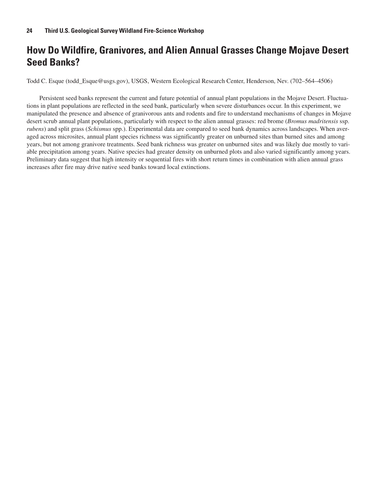## **How Do Wildfire, Granivores, and Alien Annual Grasses Change Mojave Desert Seed Banks?**

Todd C. Esque (todd\_Esque@usgs.gov), USGS, Western Ecological Research Center, Henderson, Nev. (702–564–4506)

Persistent seed banks represent the current and future potential of annual plant populations in the Mojave Desert. Fluctuations in plant populations are reflected in the seed bank, particularly when severe disturbances occur. In this experiment, we manipulated the presence and absence of granivorous ants and rodents and fire to understand mechanisms of changes in Mojave desert scrub annual plant populations, particularly with respect to the alien annual grasses: red brome (*Bromus madritensis* ssp. *rubens*) and split grass (*Schismus* spp.). Experimental data are compared to seed bank dynamics across landscapes. When averaged across microsites, annual plant species richness was significantly greater on unburned sites than burned sites and among years, but not among granivore treatments. Seed bank richness was greater on unburned sites and was likely due mostly to variable precipitation among years. Native species had greater density on unburned plots and also varied significantly among years. Preliminary data suggest that high intensity or sequential fires with short return times in combination with alien annual grass increases after fire may drive native seed banks toward local extinctions.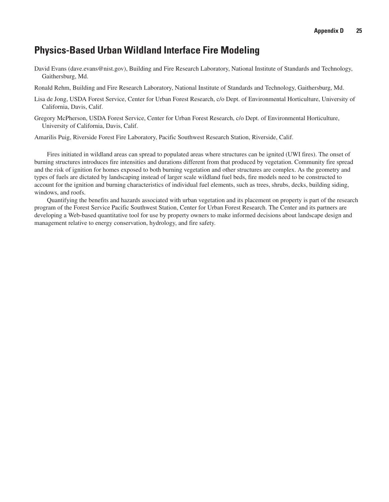## **Physics-Based Urban Wildland Interface Fire Modeling**

- David Evans (dave.evans@nist.gov), Building and Fire Research Laboratory, National Institute of Standards and Technology, Gaithersburg, Md.
- Ronald Rehm, Building and Fire Research Laboratory, National Institute of Standards and Technology, Gaithersburg, Md.
- Lisa de Jong, USDA Forest Service, Center for Urban Forest Research, c/o Dept. of Environmental Horticulture, University of California, Davis, Calif.
- Gregory McPherson, USDA Forest Service, Center for Urban Forest Research, c/o Dept. of Environmental Horticulture, University of California, Davis, Calif.

Amarilis Puig, Riverside Forest Fire Laboratory, Pacific Southwest Research Station, Riverside, Calif.

Fires initiated in wildland areas can spread to populated areas where structures can be ignited (UWI fires). The onset of burning structures introduces fire intensities and durations different from that produced by vegetation. Community fire spread and the risk of ignition for homes exposed to both burning vegetation and other structures are complex. As the geometry and types of fuels are dictated by landscaping instead of larger scale wildland fuel beds, fire models need to be constructed to account for the ignition and burning characteristics of individual fuel elements, such as trees, shrubs, decks, building siding, windows, and roofs.

Quantifying the benefits and hazards associated with urban vegetation and its placement on property is part of the research program of the Forest Service Pacific Southwest Station, Center for Urban Forest Research. The Center and its partners are developing a Web-based quantitative tool for use by property owners to make informed decisions about landscape design and management relative to energy conservation, hydrology, and fire safety.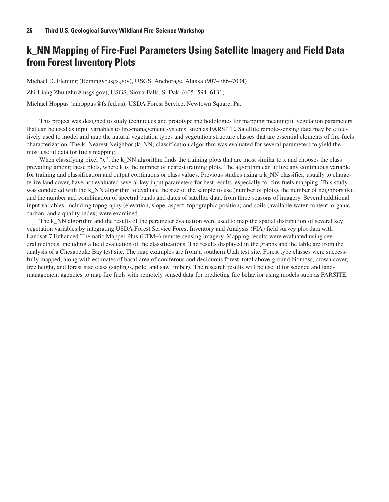## **k\_NN Mapping of Fire-Fuel Parameters Using Satellite Imagery and Field Data from Forest Inventory Plots**

Michael D. Fleming (fleming@usgs.gov), USGS, Anchorage, Alaska (907–786–7034)

Zhi-Liang Zhu (zhu@usgs.gov), USGS, Sioux Falls, S. Dak. (605–594–6131)

Michael Hoppus (mhoppus@fs.fed.us), USDA Forest Service, Newtown Square, Pa.

This project was designed to study techniques and prototype methodologies for mapping meaningful vegetation parameters that can be used as input variables to fire-management systems, such as FARSITE. Satellite remote-sensing data may be effectively used to model and map the natural vegetation types and vegetation structure classes that are essential elements of fire-fuels characterization. The k\_Nearest Neighbor (k\_NN) classification algorithm was evaluated for several parameters to yield the most useful data for fuels mapping.

When classifying pixel "x", the k\_NN algorithm finds the training plots that are most similar to x and chooses the class prevailing among these plots, where k is the number of nearest training plots. The algorithm can utilize any continuous variable for training and classification and output continuous or class values. Previous studies using a k\_NN classifier, usually to characterize land cover, have not evaluated several key input parameters for best results, especially for fire-fuels mapping. This study was conducted with the k\_NN algorithm to evaluate the size of the sample to use (number of plots), the number of neighbors (k), and the number and combination of spectral bands and dates of satellite data, from three seasons of imagery. Several additional input variables, including topography (elevation, slope, aspect, topographic position) and soils (available water content, organic carbon, and a quality index) were examined.

The k\_NN algorithm and the results of the parameter evaluation were used to map the spatial distribution of several key vegetation variables by integrating USDA Forest Service Forest Inventory and Analysis (FIA) field survey plot data with Landsat-7 Enhanced Thematic Mapper Plus (ETM+) remote-sensing imagery. Mapping results were evaluated using several methods, including a field evaluation of the classifications. The results displayed in the graphs and the table are from the analysis of a Chesapeake Bay test site. The map examples are from a southern Utah test site. Forest type classes were successfully mapped, along with estimates of basal area of coniferous and deciduous forest, total above-ground biomass, crown cover, tree height, and forest size class (saplings, pole, and saw timber). The research results will be useful for science and landmanagement agencies to map fire fuels with remotely sensed data for predicting fire behavior using models such as FARSITE.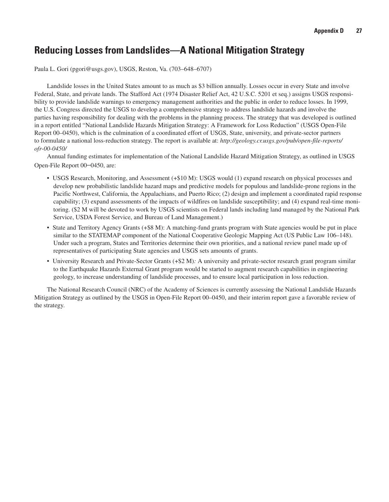## **Reducing Losses from Landslides—A National Mitigation Strategy**

Paula L. Gori (pgori@usgs.gov), USGS, Reston, Va. (703–648–6707)

Landslide losses in the United States amount to as much as \$3 billion annually. Losses occur in every State and involve Federal, State, and private lands. The Stafford Act (1974 Disaster Relief Act, 42 U.S.C. 5201 et seq.) assigns USGS responsibility to provide landslide warnings to emergency management authorities and the public in order to reduce losses. In 1999, the U.S. Congress directed the USGS to develop a comprehensive strategy to address landslide hazards and involve the parties having responsibility for dealing with the problems in the planning process. The strategy that was developed is outlined in a report entitled "National Landslide Hazards Mitigation Strategy: A Framework for Loss Reduction" (USGS Open-File Report 00–0450), which is the culmination of a coordinated effort of USGS, State, university, and private-sector partners to formulate a national loss-reduction strategy. The report is available at: *http://geology.cr.usgs.gov/pub/open-file-reports/ ofr-00-0450/*

Annual funding estimates for implementation of the National Landslide Hazard Mitigation Strategy, as outlined in USGS Open-File Report 00–0450, are:

- USGS Research, Monitoring, and Assessment (+\$10 M): USGS would (1) expand research on physical processes and develop new probabilistic landslide hazard maps and predictive models for populous and landslide-prone regions in the Pacific Northwest, California, the Appalachians, and Puerto Rico; (2) design and implement a coordinated rapid response capability; (3) expand assessments of the impacts of wildfires on landslide susceptibility; and (4) expand real-time monitoring. (\$2 M will be devoted to work by USGS scientists on Federal lands including land managed by the National Park Service, USDA Forest Service, and Bureau of Land Management.)
- State and Territory Agency Grants (+\$8 M): A matching-fund grants program with State agencies would be put in place similar to the STATEMAP component of the National Cooperative Geologic Mapping Act (US Public Law 106–148). Under such a program, States and Territories determine their own priorities, and a national review panel made up of representatives of participating State agencies and USGS sets amounts of grants.
- University Research and Private-Sector Grants (+\$2 M)*:* A university and private-sector research grant program similar to the Earthquake Hazards External Grant program would be started to augment research capabilities in engineering geology, to increase understanding of landslide processes, and to ensure local participation in loss reduction.

The National Research Council (NRC) of the Academy of Sciences is currently assessing the National Landslide Hazards Mitigation Strategy as outlined by the USGS in Open-File Report 00–0450, and their interim report gave a favorable review of the strategy.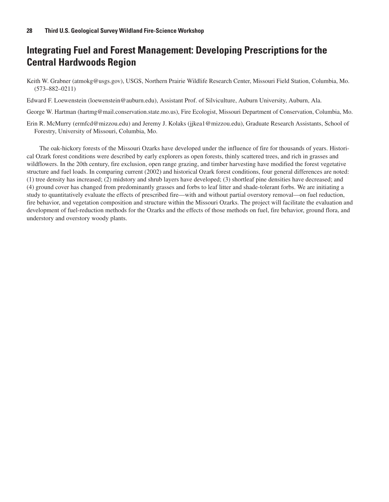## **Integrating Fuel and Forest Management: Developing Prescriptions for the Central Hardwoods Region**

Keith W. Grabner (atmokg@usgs.gov), USGS, Northern Prairie Wildlife Research Center, Missouri Field Station, Columbia, Mo. (573–882–0211)

Edward F. Loewenstein (loewenstein@auburn.edu), Assistant Prof. of Silviculture, Auburn University, Auburn, Ala.

George W. Hartman (hartmg@mail.conservation.state.mo.us), Fire Ecologist, Missouri Department of Conservation, Columbia, Mo.

Erin R. McMurry (ermfcd@mizzou.edu) and Jeremy J. Kolaks (jjkea1@mizzou.edu), Graduate Research Assistants, School of Forestry, University of Missouri, Columbia, Mo.

The oak-hickory forests of the Missouri Ozarks have developed under the influence of fire for thousands of years. Historical Ozark forest conditions were described by early explorers as open forests, thinly scattered trees, and rich in grasses and wildflowers. In the 20th century, fire exclusion, open range grazing, and timber harvesting have modified the forest vegetative structure and fuel loads. In comparing current (2002) and historical Ozark forest conditions, four general differences are noted: (1) tree density has increased; (2) midstory and shrub layers have developed; (3) shortleaf pine densities have decreased; and (4) ground cover has changed from predominantly grasses and forbs to leaf litter and shade-tolerant forbs. We are initiating a study to quantitatively evaluate the effects of prescribed fire—with and without partial overstory removal—on fuel reduction, fire behavior, and vegetation composition and structure within the Missouri Ozarks. The project will facilitate the evaluation and development of fuel-reduction methods for the Ozarks and the effects of those methods on fuel, fire behavior, ground flora, and understory and overstory woody plants.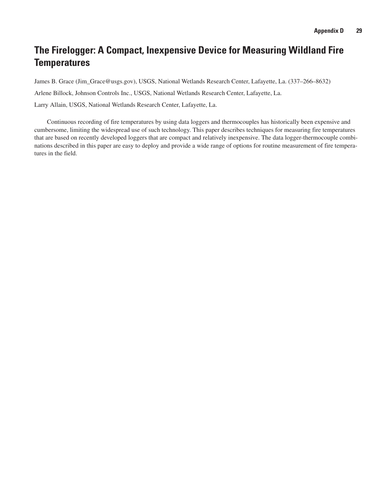## **The Firelogger: A Compact, Inexpensive Device for Measuring Wildland Fire Temperatures**

James B. Grace (Jim\_Grace@usgs.gov), USGS, National Wetlands Research Center, Lafayette, La. (337–266–8632) Arlene Billock, Johnson Controls Inc., USGS, National Wetlands Research Center, Lafayette, La. Larry Allain, USGS, National Wetlands Research Center, Lafayette, La.

Continuous recording of fire temperatures by using data loggers and thermocouples has historically been expensive and cumbersome, limiting the widespread use of such technology. This paper describes techniques for measuring fire temperatures that are based on recently developed loggers that are compact and relatively inexpensive. The data logger-thermocouple combinations described in this paper are easy to deploy and provide a wide range of options for routine measurement of fire temperatures in the field.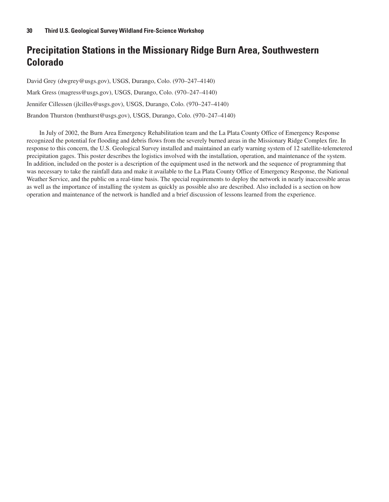## **Precipitation Stations in the Missionary Ridge Burn Area, Southwestern Colorado**

David Grey (dwgrey@usgs.gov), USGS, Durango, Colo. (970–247–4140) Mark Gress (magress@usgs.gov), USGS, Durango, Colo. (970–247–4140) Jennifer Cillessen (jlcilles@usgs.gov), USGS, Durango, Colo. (970–247–4140) Brandon Thurston (bmthurst@usgs.gov), USGS, Durango, Colo. (970–247–4140)

In July of 2002, the Burn Area Emergency Rehabilitation team and the La Plata County Office of Emergency Response recognized the potential for flooding and debris flows from the severely burned areas in the Missionary Ridge Complex fire. In response to this concern, the U.S. Geological Survey installed and maintained an early warning system of 12 satellite-telemetered precipitation gages. This poster describes the logistics involved with the installation, operation, and maintenance of the system. In addition, included on the poster is a description of the equipment used in the network and the sequence of programming that was necessary to take the rainfall data and make it available to the La Plata County Office of Emergency Response, the National Weather Service, and the public on a real-time basis. The special requirements to deploy the network in nearly inaccessible areas as well as the importance of installing the system as quickly as possible also are described. Also included is a section on how operation and maintenance of the network is handled and a brief discussion of lessons learned from the experience.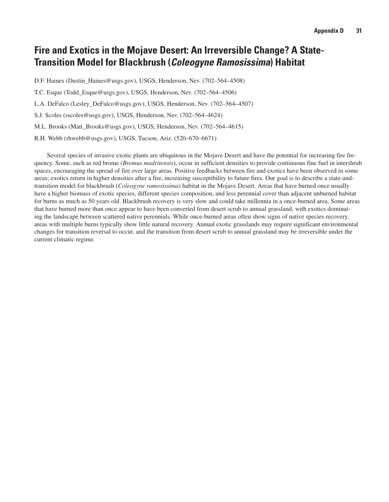## **Fire and Exotics in the Mojave Desert: An Irreversible Change? A State-Transition Model for Blackbrush (***Coleogyne Ramosissima***) Habitat**

D.F. Haines (Dustin\_Haines@usgs.gov), USGS, Henderson, Nev. (702–564–4508)

T.C. Esque (Todd\_Esque@usgs.gov), USGS, Henderson, Nev. (702–564–4506)

L.A. DeFalco (Lesley\_DeFalco@usgs.gov), USGS, Henderson, Nev. (702–564–4507)

S.J. Scoles (sscoles@usgs.gov), USGS, Henderson, Nev. (702–564–4624)

M.L. Brooks (Matt\_Brooks@usgs.gov), USGS, Henderson, Nev. (702–564–4615)

R.H. Webb (rhwebb@usgs.gov), USGS, Tucson, Ariz. (520–670–6671)

Several species of invasive exotic plants are ubiquitous in the Mojave Desert and have the potential for increasing fire frequency. Some, such as red brome (*Bromus madritensis*), occur in sufficient densities to provide continuous fine fuel in intershrub spaces, encouraging the spread of fire over large areas. Positive feedbacks between fire and exotics have been observed in some areas; exotics return in higher densities after a fire, increasing susceptibility to future fires. Our goal is to describe a state-andtransition model for blackbrush (*Coleogyne ramosissima*) habitat in the Mojave Desert. Areas that have burned once usually have a higher biomass of exotic species, different species composition, and less perennial cover than adjacent unburned habitat for burns as much as 50 years old. Blackbrush recovery is very slow and could take millennia in a once-burned area. Some areas that have burned more than once appear to have been converted from desert scrub to annual grassland, with exotics dominating the landscape between scattered native perennials. While once-burned areas often show signs of native species recovery, areas with multiple burns typically show little natural recovery. Annual exotic grasslands may require significant environmental changes for transition reversal to occur, and the transition from desert scrub to annual grassland may be irreversible under the current climatic regime.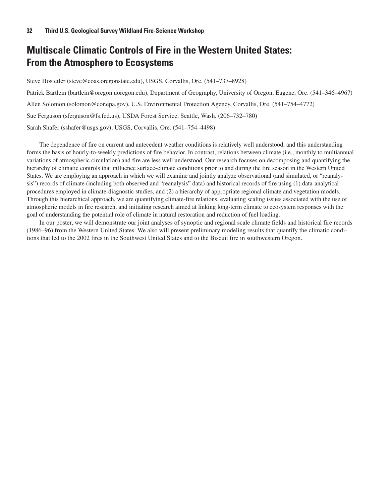## **Multiscale Climatic Controls of Fire in the Western United States: From the Atmosphere to Ecosystems**

Steve Hostetler (steve@coas.oregonstate.edu), USGS, Corvallis, Ore. (541–737–8928)

Patrick Bartlein (bartlein@oregon.uoregon.edu), Department of Geography, University of Oregon, Eugene, Ore. (541–346–4967) Allen Solomon (solomon@cor.epa.gov), U.S. Environmental Protection Agency, Corvallis, Ore. (541–754–4772) Sue Ferguson (sferguson@fs.fed.us), USDA Forest Service, Seattle, Wash. (206–732–780) Sarah Shafer (sshafer@usgs.gov), USGS, Corvallis, Ore. (541–754–4498)

The dependence of fire on current and antecedent weather conditions is relatively well understood, and this understanding forms the basis of hourly-to-weekly predictions of fire behavior. In contrast, relations between climate (i.e., monthly to multiannual variations of atmospheric circulation) and fire are less well understood. Our research focuses on decomposing and quantifying the hierarchy of climatic controls that influence surface-climate conditions prior to and during the fire season in the Western United States. We are employing an approach in which we will examine and jointly analyze observational (and simulated, or "reanalysis") records of climate (including both observed and "reanalysis" data) and historical records of fire using (1) data-analytical procedures employed in climate-diagnostic studies, and (2) a hierarchy of appropriate regional climate and vegetation models. Through this hierarchical approach, we are quantifying climate-fire relations, evaluating scaling issues associated with the use of atmospheric models in fire research, and initiating research aimed at linking long-term climate to ecosystem responses with the goal of understanding the potential role of climate in natural restoration and reduction of fuel loading.

In our poster, we will demonstrate our joint analyses of synoptic and regional scale climate fields and historical fire records (1986–96) from the Western United States. We also will present preliminary modeling results that quantify the climatic conditions that led to the 2002 fires in the Southwest United States and to the Biscuit fire in southwestern Oregon.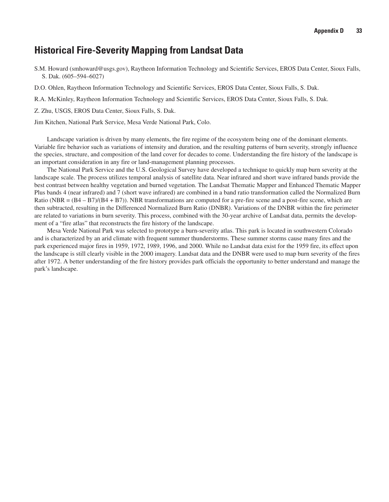## **Historical Fire-Severity Mapping from Landsat Data**

S.M. Howard (smhoward@usgs.gov), Raytheon Information Technology and Scientific Services, EROS Data Center, Sioux Falls, S. Dak. (605–594–6027)

D.O. Ohlen, Raytheon Information Technology and Scientific Services, EROS Data Center, Sioux Falls, S. Dak.

R.A. McKinley, Raytheon Information Technology and Scientific Services, EROS Data Center, Sioux Falls, S. Dak.

Z. Zhu, USGS, EROS Data Center, Sioux Falls, S. Dak.

Jim Kitchen, National Park Service, Mesa Verde National Park, Colo.

Landscape variation is driven by many elements, the fire regime of the ecosystem being one of the dominant elements. Variable fire behavior such as variations of intensity and duration, and the resulting patterns of burn severity, strongly influence the species, structure, and composition of the land cover for decades to come. Understanding the fire history of the landscape is an important consideration in any fire or land-management planning processes.

The National Park Service and the U.S. Geological Survey have developed a technique to quickly map burn severity at the landscape scale. The process utilizes temporal analysis of satellite data. Near infrared and short wave infrared bands provide the best contrast between healthy vegetation and burned vegetation. The Landsat Thematic Mapper and Enhanced Thematic Mapper Plus bands 4 (near infrared) and 7 (short wave infrared) are combined in a band ratio transformation called the Normalized Burn Ratio (NBR =  $(B4 - B7)/(B4 + B7)$ ). NBR transformations are computed for a pre-fire scene and a post-fire scene, which are then subtracted, resulting in the Differenced Normalized Burn Ratio (DNBR). Variations of the DNBR within the fire perimeter are related to variations in burn severity. This process, combined with the 30-year archive of Landsat data, permits the development of a "fire atlas" that reconstructs the fire history of the landscape.

Mesa Verde National Park was selected to prototype a burn-severity atlas. This park is located in southwestern Colorado and is characterized by an arid climate with frequent summer thunderstorms. These summer storms cause many fires and the park experienced major fires in 1959, 1972, 1989, 1996, and 2000. While no Landsat data exist for the 1959 fire, its effect upon the landscape is still clearly visible in the 2000 imagery. Landsat data and the DNBR were used to map burn severity of the fires after 1972. A better understanding of the fire history provides park officials the opportunity to better understand and manage the park's landscape.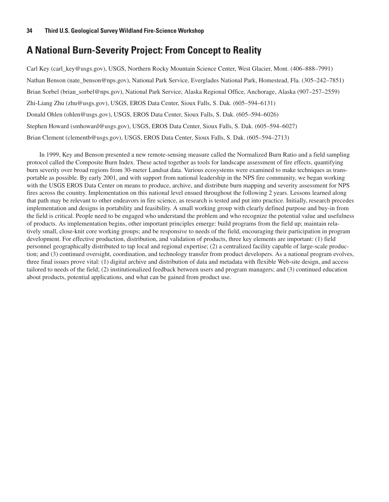## **A National Burn-Severity Project: From Concept to Reality**

Carl Key (carl\_key@usgs.gov), USGS, Northern Rocky Mountain Science Center, West Glacier, Mont. (406–888–7991) Nathan Benson (nate\_benson@nps.gov), National Park Service, Everglades National Park, Homestead, Fla. (305–242–7851) Brian Sorbel (brian\_sorbel@nps.gov), National Park Service, Alaska Regional Office, Anchorage, Alaska (907–257–2559) Zhi-Liang Zhu (zhu@usgs.gov), USGS, EROS Data Center, Sioux Falls, S. Dak. (605–594–6131) Donald Ohlen (ohlen@usgs.gov), USGS, EROS Data Center, Sioux Falls, S. Dak. (605–594–6026) Stephen Howard (smhoward@usgs.gov), USGS, EROS Data Center, Sioux Falls, S. Dak. (605–594–6027) Brian Clement (clementb@usgs.gov), USGS, EROS Data Center, Sioux Falls, S. Dak. (605–594–2713)

In 1999, Key and Benson presented a new remote-sensing measure called the Normalized Burn Ratio and a field sampling protocol called the Composite Burn Index. These acted together as tools for landscape assessment of fire effects, quantifying burn severity over broad regions from 30-meter Landsat data. Various ecosystems were examined to make techniques as transportable as possible. By early 2001, and with support from national leadership in the NPS fire community, we began working with the USGS EROS Data Center on means to produce, archive, and distribute burn mapping and severity assessment for NPS fires across the country. Implementation on this national level ensued throughout the following 2 years. Lessons learned along that path may be relevant to other endeavors in fire science, as research is tested and put into practice. Initially, research precedes implementation and designs in portability and feasibility. A small working group with clearly defined purpose and buy-in from the field is critical. People need to be engaged who understand the problem and who recognize the potential value and usefulness of products. As implementation begins, other important principles emerge: build programs from the field up; maintain relatively small, close-knit core working groups; and be responsive to needs of the field, encouraging their participation in program development. For effective production, distribution, and validation of products, three key elements are important: (1) field personnel geographically distributed to tap local and regional expertise; (2) a centralized facility capable of large-scale production; and (3) continued oversight, coordination, and technology transfer from product developers. As a national program evolves, three final issues prove vital: (1) digital archive and distribution of data and metadata with flexible Web-site design, and access tailored to needs of the field; (2) institutionalized feedback between users and program managers; and (3) continued education about products, potential applications, and what can be gained from product use.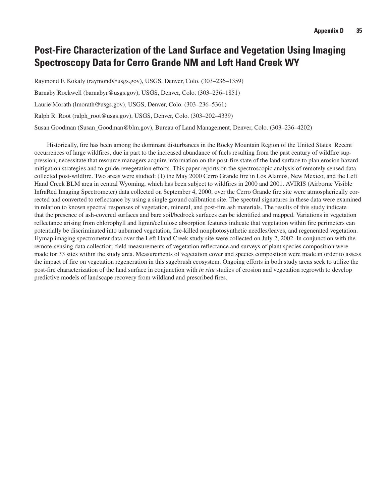## **Post-Fire Characterization of the Land Surface and Vegetation Using Imaging Spectroscopy Data for Cerro Grande NM and Left Hand Creek WY**

Raymond F. Kokaly (raymond@usgs.gov), USGS, Denver, Colo. (303–236–1359)

Barnaby Rockwell (barnabyr@usgs.gov), USGS, Denver, Colo. (303–236–1851)

Laurie Morath (lmorath@usgs.gov), USGS, Denver, Colo. (303–236–5361)

Ralph R. Root (ralph\_root@usgs.gov), USGS, Denver, Colo. (303–202–4339)

Susan Goodman (Susan\_Goodman@blm.gov), Bureau of Land Management, Denver, Colo. (303–236–4202)

Historically, fire has been among the dominant disturbances in the Rocky Mountain Region of the United States. Recent occurrences of large wildfires, due in part to the increased abundance of fuels resulting from the past century of wildfire suppression, necessitate that resource managers acquire information on the post-fire state of the land surface to plan erosion hazard mitigation strategies and to guide revegetation efforts. This paper reports on the spectroscopic analysis of remotely sensed data collected post-wildfire. Two areas were studied: (1) the May 2000 Cerro Grande fire in Los Alamos, New Mexico, and the Left Hand Creek BLM area in central Wyoming, which has been subject to wildfires in 2000 and 2001. AVIRIS (Airborne Visible InfraRed Imaging Spectrometer) data collected on September 4, 2000, over the Cerro Grande fire site were atmospherically corrected and converted to reflectance by using a single ground calibration site. The spectral signatures in these data were examined in relation to known spectral responses of vegetation, mineral, and post-fire ash materials. The results of this study indicate that the presence of ash-covered surfaces and bare soil/bedrock surfaces can be identified and mapped. Variations in vegetation reflectance arising from chlorophyll and lignin/cellulose absorption features indicate that vegetation within fire perimeters can potentially be discriminated into unburned vegetation, fire-killed nonphotosynthetic needles/leaves, and regenerated vegetation. Hymap imaging spectrometer data over the Left Hand Creek study site were collected on July 2, 2002. In conjunction with the remote-sensing data collection, field measurements of vegetation reflectance and surveys of plant species composition were made for 33 sites within the study area. Measurements of vegetation cover and species composition were made in order to assess the impact of fire on vegetation regeneration in this sagebrush ecosystem. Ongoing efforts in both study areas seek to utilize the post-fire characterization of the land surface in conjunction with *in situ* studies of erosion and vegetation regrowth to develop predictive models of landscape recovery from wildland and prescribed fires.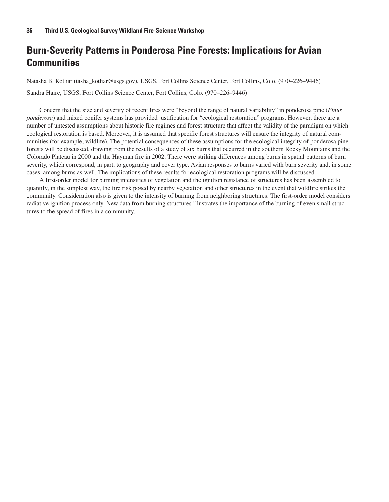## **Burn-Severity Patterns in Ponderosa Pine Forests: Implications for Avian Communities**

Natasha B. Kotliar (tasha\_kotliar@usgs.gov), USGS, Fort Collins Science Center, Fort Collins, Colo. (970–226–9446) Sandra Haire, USGS, Fort Collins Science Center, Fort Collins, Colo. (970–226–9446)

Concern that the size and severity of recent fires were "beyond the range of natural variability" in ponderosa pine (*Pinus ponderosa*) and mixed conifer systems has provided justification for "ecological restoration" programs. However, there are a number of untested assumptions about historic fire regimes and forest structure that affect the validity of the paradigm on which ecological restoration is based. Moreover, it is assumed that specific forest structures will ensure the integrity of natural communities (for example, wildlife). The potential consequences of these assumptions for the ecological integrity of ponderosa pine forests will be discussed, drawing from the results of a study of six burns that occurred in the southern Rocky Mountains and the Colorado Plateau in 2000 and the Hayman fire in 2002. There were striking differences among burns in spatial patterns of burn severity, which correspond, in part, to geography and cover type. Avian responses to burns varied with burn severity and, in some cases, among burns as well. The implications of these results for ecological restoration programs will be discussed.

A first-order model for burning intensities of vegetation and the ignition resistance of structures has been assembled to quantify, in the simplest way, the fire risk posed by nearby vegetation and other structures in the event that wildfire strikes the community. Consideration also is given to the intensity of burning from neighboring structures. The first-order model considers radiative ignition process only. New data from burning structures illustrates the importance of the burning of even small structures to the spread of fires in a community.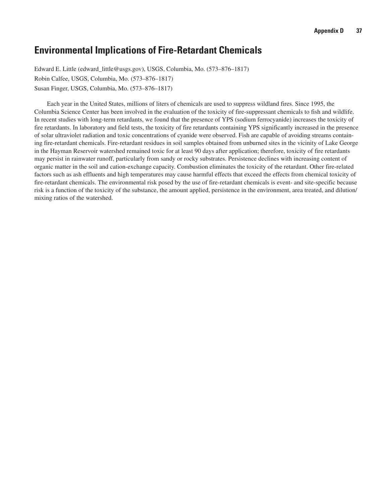## **Environmental Implications of Fire-Retardant Chemicals**

Edward E. Little (edward\_little@usgs.gov), USGS, Columbia, Mo. (573–876–1817) Robin Calfee, USGS, Columbia, Mo. (573–876–1817) Susan Finger, USGS, Columbia, Mo. (573–876–1817)

Each year in the United States, millions of liters of chemicals are used to suppress wildland fires. Since 1995, the Columbia Science Center has been involved in the evaluation of the toxicity of fire-suppressant chemicals to fish and wildlife. In recent studies with long-term retardants, we found that the presence of YPS (sodium ferrocyanide) increases the toxicity of fire retardants. In laboratory and field tests, the toxicity of fire retardants containing YPS significantly increased in the presence of solar ultraviolet radiation and toxic concentrations of cyanide were observed. Fish are capable of avoiding streams containing fire-retardant chemicals. Fire-retardant residues in soil samples obtained from unburned sites in the vicinity of Lake George in the Hayman Reservoir watershed remained toxic for at least 90 days after application; therefore, toxicity of fire retardants may persist in rainwater runoff, particularly from sandy or rocky substrates. Persistence declines with increasing content of organic matter in the soil and cation-exchange capacity. Combustion eliminates the toxicity of the retardant. Other fire-related factors such as ash effluents and high temperatures may cause harmful effects that exceed the effects from chemical toxicity of fire-retardant chemicals. The environmental risk posed by the use of fire-retardant chemicals is event- and site-specific because risk is a function of the toxicity of the substance, the amount applied, persistence in the environment, area treated, and dilution/ mixing ratios of the watershed.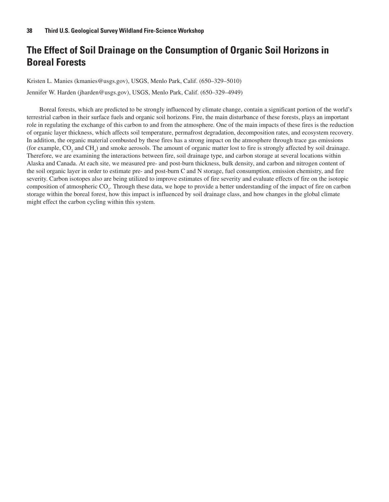## **The Effect of Soil Drainage on the Consumption of Organic Soil Horizons in Boreal Forests**

Kristen L. Manies (kmanies@usgs.gov), USGS, Menlo Park, Calif. (650–329–5010)

Jennifer W. Harden (jharden@usgs.gov), USGS, Menlo Park, Calif. (650–329–4949)

Boreal forests, which are predicted to be strongly influenced by climate change, contain a significant portion of the world's terrestrial carbon in their surface fuels and organic soil horizons. Fire, the main disturbance of these forests, plays an important role in regulating the exchange of this carbon to and from the atmosphere. One of the main impacts of these fires is the reduction of organic layer thickness, which affects soil temperature, permafrost degradation, decomposition rates, and ecosystem recovery. In addition, the organic material combusted by these fires has a strong impact on the atmosphere through trace gas emissions (for example,  $CO_2$  and  $CH_4$ ) and smoke aerosols. The amount of organic matter lost to fire is strongly affected by soil drainage. Therefore, we are examining the interactions between fire, soil drainage type, and carbon storage at several locations within Alaska and Canada. At each site, we measured pre- and post-burn thickness, bulk density, and carbon and nitrogen content of the soil organic layer in order to estimate pre- and post-burn C and N storage, fuel consumption, emission chemistry, and fire severity. Carbon isotopes also are being utilized to improve estimates of fire severity and evaluate effects of fire on the isotopic composition of atmospheric  $CO_2$ . Through these data, we hope to provide a better understanding of the impact of fire on carbon storage within the boreal forest, how this impact is influenced by soil drainage class, and how changes in the global climate might effect the carbon cycling within this system.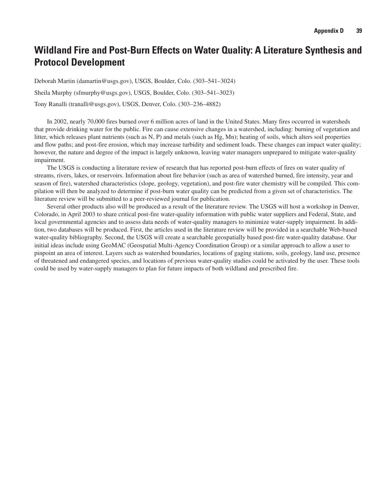## **Wildland Fire and Post-Burn Effects on Water Quality: A Literature Synthesis and Protocol Development**

Deborah Martin (damartin@usgs.gov), USGS, Boulder, Colo. (303–541–3024)

Sheila Murphy (sfmurphy@usgs.gov), USGS, Boulder, Colo. (303–541–3023)

Tony Ranalli (tranalli@usgs.gov), USGS, Denver, Colo. (303–236–4882)

In 2002, nearly 70,000 fires burned over 6 million acres of land in the United States. Many fires occurred in watersheds that provide drinking water for the public. Fire can cause extensive changes in a watershed, including: burning of vegetation and litter, which releases plant nutrients (such as N, P) and metals (such as Hg, Mn); heating of soils, which alters soil properties and flow paths; and post-fire erosion, which may increase turbidity and sediment loads. These changes can impact water quality; however, the nature and degree of the impact is largely unknown, leaving water managers unprepared to mitigate water-quality impairment.

The USGS is conducting a literature review of research that has reported post-burn effects of fires on water quality of streams, rivers, lakes, or reservoirs. Information about fire behavior (such as area of watershed burned, fire intensity, year and season of fire), watershed characteristics (slope, geology, vegetation), and post-fire water chemistry will be compiled. This compilation will then be analyzed to determine if post-burn water quality can be predicted from a given set of characteristics. The literature review will be submitted to a peer-reviewed journal for publication.

Several other products also will be produced as a result of the literature review. The USGS will host a workshop in Denver, Colorado, in April 2003 to share critical post-fire water-quality information with public water suppliers and Federal, State, and local governmental agencies and to assess data needs of water-quality managers to minimize water-supply impairment. In addition, two databases will be produced. First, the articles used in the literature review will be provided in a searchable Web-based water-quality bibliography. Second, the USGS will create a searchable geospatially based post-fire water-quality database. Our initial ideas include using GeoMAC (Geospatial Multi-Agency Coordination Group) or a similar approach to allow a user to pinpoint an area of interest. Layers such as watershed boundaries, locations of gaging stations, soils, geology, land use, presence of threatened and endangered species, and locations of previous water-quality studies could be activated by the user. These tools could be used by water-supply managers to plan for future impacts of both wildland and prescribed fire.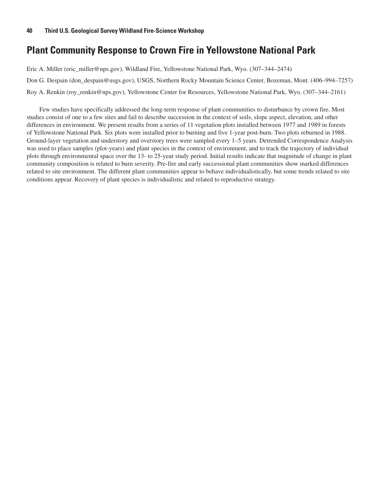## **Plant Community Response to Crown Fire in Yellowstone National Park**

Eric A. Miller (eric\_miller@nps.gov), Wildland Fire, Yellowstone National Park, Wyo. (307–344–2474) Don G. Despain (don\_despain@usgs.gov), USGS, Northern Rocky Mountain Science Center, Bozeman, Mont. (406–994–7257) Roy A. Renkin (roy\_renkin@nps.gov), Yellowstone Center for Resources, Yellowstone National Park, Wyo. (307–344–2161)

Few studies have specifically addressed the long-term response of plant communities to disturbance by crown fire. Most studies consist of one to a few sites and fail to describe succession in the context of soils, slope aspect, elevation, and other differences in environment. We present results from a series of 11 vegetation plots installed between 1977 and 1989 in forests of Yellowstone National Park. Six plots were installed prior to burning and five 1-year post-burn. Two plots reburned in 1988. Ground-layer vegetation and understory and overstory trees were sampled every 1–5 years. Detrended Correspondence Analysis was used to place samples (plot-years) and plant species in the context of environment, and to track the trajectory of individual plots through environmental space over the 13- to 25-year study period. Initial results indicate that magnitude of change in plant community composition is related to burn severity. Pre-fire and early successional plant communities show marked differences related to site environment. The different plant communities appear to behave individualistically, but some trends related to site conditions appear. Recovery of plant species is individualistic and related to reproductive strategy.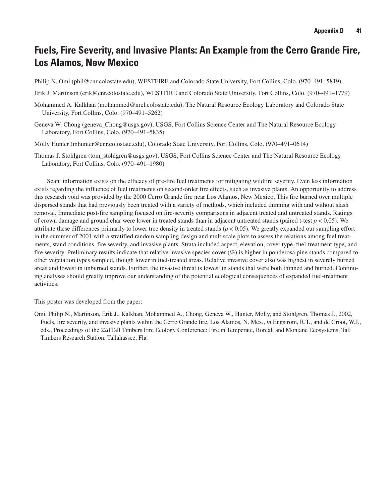## **Fuels, Fire Severity, and Invasive Plants: An Example from the Cerro Grande Fire, Los Alamos, New Mexico**

Philip N. Omi (phil@cnr.colostate.edu), WESTFIRE and Colorado State University, Fort Collins, Colo. (970–491–5819)

- Erik J. Martinson (erik@cnr.colostate.edu), WESTFIRE and Colorado State University, Fort Collins, Colo. (970–491–1779)
- Mohammed A. Kalkhan (mohammed@nrel.colostate.edu), The Natural Resource Ecology Laboratory and Colorado State University, Fort Collins, Colo. (970–491–5262)
- Geneva W. Chong (geneva\_Chong@usgs.gov), USGS, Fort Collins Science Center and The Natural Resource Ecology Laboratory, Fort Collins, Colo. (970–491–5835)

Molly Hunter (mhunter@cnr.colostate.edu), Colorado State University, Fort Collins, Colo. (970–491–0614)

Thomas J. Stohlgren (tom\_stohlgren@usgs.gov), USGS, Fort Collins Science Center and The Natural Resource Ecology Laboratory, Fort Collins, Colo. (970–491–1980)

Scant information exists on the efficacy of pre-fire fuel treatments for mitigating wildfire severity. Even less information exists regarding the influence of fuel treatments on second-order fire effects, such as invasive plants. An opportunity to address this research void was provided by the 2000 Cerro Grande fire near Los Alamos, New Mexico. This fire burned over multiple dispersed stands that had previously been treated with a variety of methods, which included thinning with and without slash removal. Immediate post-fire sampling focused on fire-severity comparisons in adjacent treated and untreated stands. Ratings of crown damage and ground char were lower in treated stands than in adjacent untreated stands (paired t-test *p* < 0.05). We attribute these differences primarily to lower tree density in treated stands  $(p < 0.05)$ . We greatly expanded our sampling effort in the summer of 2001 with a stratified random sampling design and multiscale plots to assess the relations among fuel treatments, stand conditions, fire severity, and invasive plants. Strata included aspect, elevation, cover type, fuel-treatment type, and fire severity. Preliminary results indicate that relative invasive species cover (%) is higher in ponderosa pine stands compared to other vegetation types sampled, though lower in fuel-treated areas. Relative invasive cover also was highest in severely burned areas and lowest in unburned stands. Further, the invasive threat is lowest in stands that were both thinned and burned. Continuing analyses should greatly improve our understanding of the potential ecological consequences of expanded fuel-treatment activities.

This poster was developed from the paper:

Omi, Philip N., Martinson, Erik J., Kalkhan, Mohammed A., Chong, Geneva W., Hunter, Molly, and Stohlgren, Thomas J., 2002, Fuels, fire severity, and invasive plants within the Cerro Grande fire, Los Alamos, N. Mex., *in* Engstrom, R.T., and de Groot, W.J., eds., Proceedings of the 22dTall Timbers Fire Ecology Conference: Fire in Temperate, Boreal, and Montane Ecosystems, Tall Timbers Research Station, Tallahassee, Fla.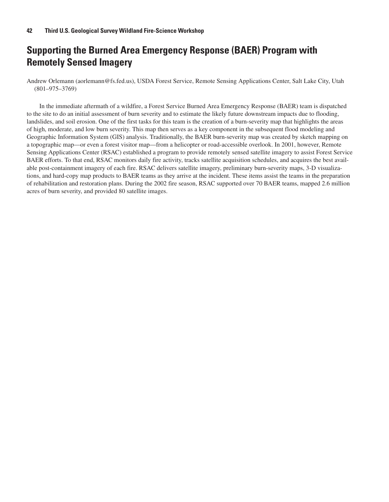## **Supporting the Burned Area Emergency Response (BAER) Program with Remotely Sensed Imagery**

Andrew Orlemann (aorlemann@fs.fed.us), USDA Forest Service, Remote Sensing Applications Center, Salt Lake City, Utah (801–975–3769)

In the immediate aftermath of a wildfire, a Forest Service Burned Area Emergency Response (BAER) team is dispatched to the site to do an initial assessment of burn severity and to estimate the likely future downstream impacts due to flooding, landslides, and soil erosion. One of the first tasks for this team is the creation of a burn-severity map that highlights the areas of high, moderate, and low burn severity. This map then serves as a key component in the subsequent flood modeling and Geographic Information System (GIS) analysis. Traditionally, the BAER burn-severity map was created by sketch mapping on a topographic map—or even a forest visitor map—from a helicopter or road-accessible overlook. In 2001, however, Remote Sensing Applications Center (RSAC) established a program to provide remotely sensed satellite imagery to assist Forest Service BAER efforts. To that end, RSAC monitors daily fire activity, tracks satellite acquisition schedules, and acquires the best available post-containment imagery of each fire. RSAC delivers satellite imagery, preliminary burn-severity maps, 3-D visualizations, and hard-copy map products to BAER teams as they arrive at the incident. These items assist the teams in the preparation of rehabilitation and restoration plans. During the 2002 fire season, RSAC supported over 70 BAER teams, mapped 2.6 million acres of burn severity, and provided 80 satellite images.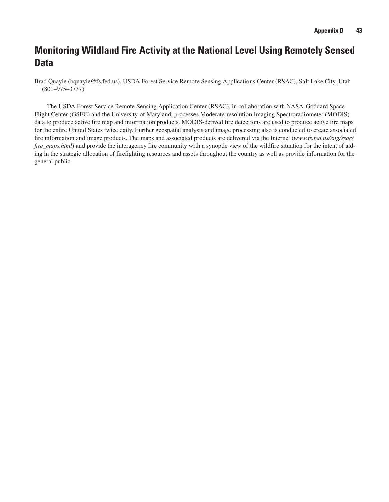## **Monitoring Wildland Fire Activity at the National Level Using Remotely Sensed Data**

Brad Quayle (bquayle@fs.fed.us), USDA Forest Service Remote Sensing Applications Center (RSAC), Salt Lake City, Utah (801–975–3737)

The USDA Forest Service Remote Sensing Application Center (RSAC), in collaboration with NASA-Goddard Space Flight Center (GSFC) and the University of Maryland, processes Moderate-resolution Imaging Spectroradiometer (MODIS) data to produce active fire map and information products. MODIS-derived fire detections are used to produce active fire maps for the entire United States twice daily. Further geospatial analysis and image processing also is conducted to create associated fire information and image products. The maps and associated products are delivered via the Internet (*www.fs.fed.us/eng/rsac/ fire\_maps.html*) and provide the interagency fire community with a synoptic view of the wildfire situation for the intent of aiding in the strategic allocation of firefighting resources and assets throughout the country as well as provide information for the general public.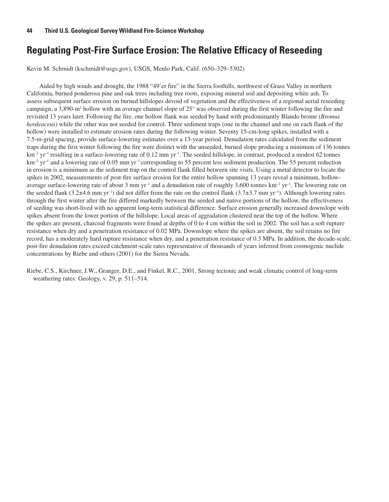## **Regulating Post-Fire Surface Erosion: The Relative Efficacy of Reseeding**

Kevin M. Schmidt (kschmidt@usgs.gov), USGS, Menlo Park, Calif. (650–329–5302)

Aided by high winds and drought, the 1988 "49'er fire" in the Sierra foothills, northwest of Grass Valley in northern California, burned ponderosa pine and oak trees including tree roots, exposing mineral soil and depositing white ash. To assess subsequent surface erosion on burned hillslopes devoid of vegetation and the effectiveness of a regional aerial reseeding campaign, a 3,890-m<sup>2</sup> hollow with an average channel slope of  $25^{\circ}$  was observed during the first winter following the fire and revisited 13 years later. Following the fire, one hollow flank was seeded by hand with predominantly Blando brome (*Bromus hordeaceus*) while the other was not seeded for control. Three sediment traps (one in the channel and one on each flank of the hollow) were installed to estimate erosion rates during the following winter. Seventy 15-cm-long spikes, installed with a 7.5-m-grid spacing, provide surface-lowering estimates over a 13-year period. Denudation rates calculated from the sediment traps during the first winter following the fire were distinct with the unseeded, burned slope producing a minimum of 136 tonnes  $km^{-2}$  yr<sup>-1</sup> resulting in a surface-lowering rate of 0.12 mm yr<sup>-1</sup>. The seeded hillslope, in contrast, produced a modest 62 tonnes  $km^{-2}$  yr<sup>-1</sup> and a lowering rate of 0.05 mm yr<sup>-1</sup> corresponding to 55 percent less sediment production. The 55 percent reduction in erosion is a minimum as the sediment trap on the control flank filled between site visits. Using a metal detector to locate the spikes in 2002, measurements of post-fire surface erosion for the entire hollow spanning 13 years reveal a minimum, hollowaverage surface-lowering rate of about 3 mm yr<sup>-1</sup> and a denudation rate of roughly 3,600 tonnes km<sup>-2</sup> yr<sup>-1</sup>. The lowering rate on the seeded flank (3.2 $\pm$ 4.6 mm yr<sup>-1</sup>) did not differ from the rate on the control flank (3.7 $\pm$ 3.7 mm yr<sup>-1</sup>). Although lowering rates through the first winter after the fire differed markedly between the seeded and native portions of the hollow, the effectiveness of seeding was short-lived with no apparent long-term statistical difference. Surface erosion generally increased downslope with spikes absent from the lower portion of the hillslope. Local areas of aggradation clustered near the top of the hollow. Where the spikes are present, charcoal fragments were found at depths of 0 to 4 cm within the soil in 2002. The soil has a soft rupture resistance when dry and a penetration resistance of 0.02 MPa. Downslope where the spikes are absent, the soil retains no fire record, has a moderately hard rupture resistance when dry, and a penetration resistance of 0.3 MPa. In addition, the decade-scale, post-fire denudation rates exceed catchment-scale rates representative of thousands of years inferred from cosmogenic nuclide concentrations by Riebe and others (2001) for the Sierra Nevada.

Riebe, C.S., Kirchner, J.W., Granger, D.E., and Finkel, R.C., 2001, Strong tectonic and weak climatic control of long-term weathering rates: Geology, v. 29, p. 511–514.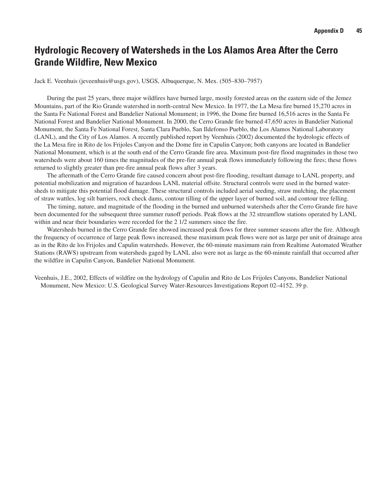## **Hydrologic Recovery of Watersheds in the Los Alamos Area After the Cerro Grande Wildfire, New Mexico**

Jack E. Veenhuis (jeveenhuis@usgs.gov), USGS, Albuquerque, N. Mex. (505–830–7957)

During the past 25 years, three major wildfires have burned large, mostly forested areas on the eastern side of the Jemez Mountains, part of the Rio Grande watershed in north-central New Mexico. In 1977, the La Mesa fire burned 15,270 acres in the Santa Fe National Forest and Bandelier National Monument; in 1996, the Dome fire burned 16,516 acres in the Santa Fe National Forest and Bandelier National Monument. In 2000, the Cerro Grande fire burned 47,650 acres in Bandelier National Monument, the Santa Fe National Forest, Santa Clara Pueblo, San Ildefonso Pueblo, the Los Alamos National Laboratory (LANL), and the City of Los Alamos. A recently published report by Veenhuis (2002) documented the hydrologic effects of the La Mesa fire in Rito de los Frijoles Canyon and the Dome fire in Capulin Canyon; both canyons are located in Bandelier National Monument, which is at the south end of the Cerro Grande fire area. Maximum post-fire flood magnitudes in those two watersheds were about 160 times the magnitudes of the pre-fire annual peak flows immediately following the fires; these flows returned to slightly greater than pre-fire annual peak flows after 3 years.

The aftermath of the Cerro Grande fire caused concern about post-fire flooding, resultant damage to LANL property, and potential mobilization and migration of hazardous LANL material offsite. Structural controls were used in the burned watersheds to mitigate this potential flood damage. These structural controls included aerial seeding, straw mulching, the placement of straw wattles, log silt barriers, rock check dams, contour tilling of the upper layer of burned soil, and contour tree felling.

The timing, nature, and magnitude of the flooding in the burned and unburned watersheds after the Cerro Grande fire have been documented for the subsequent three summer runoff periods. Peak flows at the 32 streamflow stations operated by LANL within and near their boundaries were recorded for the 2 1/2 summers since the fire.

Watersheds burned in the Cerro Grande fire showed increased peak flows for three summer seasons after the fire. Although the frequency of occurrence of large peak flows increased, these maximum peak flows were not as large per unit of drainage area as in the Rito de los Frijoles and Capulin watersheds. However, the 60-minute maximum rain from Realtime Automated Weather Stations (RAWS) upstream from watersheds gaged by LANL also were not as large as the 60-minute rainfall that occurred after the wildfire in Capulin Canyon, Bandelier National Monument.

Veenhuis, J.E., 2002, Effects of wildfire on the hydrology of Capulin and Rito de Los Frijoles Canyons, Bandelier National Monument, New Mexico: U.S. Geological Survey Water-Resources Investigations Report 02–4152, 39 p.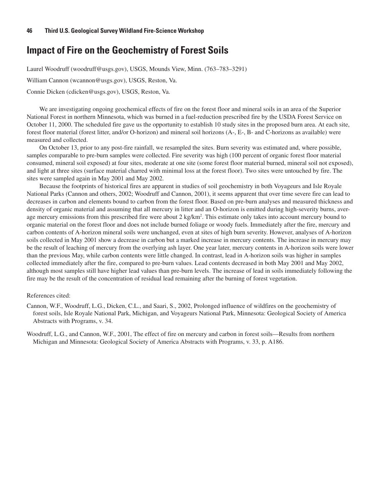## **Impact of Fire on the Geochemistry of Forest Soils**

Laurel Woodruff (woodruff@usgs.gov), USGS, Mounds View, Minn. (763-783-3291)

William Cannon (wcannon@usgs.gov), USGS, Reston, Va.

Connie Dicken (cdicken@usgs.gov), USGS, Reston, Va.

We are investigating ongoing geochemical effects of fire on the forest floor and mineral soils in an area of the Superior National Forest in northern Minnesota, which was burned in a fuel-reduction prescribed fire by the USDA Forest Service on October 11, 2000. The scheduled fire gave us the opportunity to establish 10 study sites in the proposed burn area. At each site, forest floor material (forest litter, and/or O-horizon) and mineral soil horizons (A-, E-, B- and C-horizons as available) were measured and collected.

On October 13, prior to any post-fire rainfall, we resampled the sites. Burn severity was estimated and, where possible, samples comparable to pre-burn samples were collected. Fire severity was high (100 percent of organic forest floor material consumed, mineral soil exposed) at four sites, moderate at one site (some forest floor material burned, mineral soil not exposed), and light at three sites (surface material charred with minimal loss at the forest floor). Two sites were untouched by fire. The sites were sampled again in May 2001 and May 2002.

Because the footprints of historical fires are apparent in studies of soil geochemistry in both Voyageurs and Isle Royale National Parks (Cannon and others, 2002; Woodruff and Cannon, 2001), it seems apparent that over time severe fire can lead to decreases in carbon and elements bound to carbon from the forest floor. Based on pre-burn analyses and measured thickness and density of organic material and assuming that all mercury in litter and an O-horizon is emitted during high-severity burns, average mercury emissions from this prescribed fire were about 2 kg/km<sup>2</sup>. This estimate only takes into account mercury bound to organic material on the forest floor and does not include burned foliage or woody fuels. Immediately after the fire, mercury and carbon contents of A-horizon mineral soils were unchanged, even at sites of high burn severity. However, analyses of A-horizon soils collected in May 2001 show a decrease in carbon but a marked increase in mercury contents. The increase in mercury may be the result of leaching of mercury from the overlying ash layer. One year later, mercury contents in A-horizon soils were lower than the previous May, while carbon contents were little changed. In contrast, lead in A-horizon soils was higher in samples collected immediately after the fire, compared to pre-burn values. Lead contents decreased in both May 2001 and May 2002, although most samples still have higher lead values than pre-burn levels. The increase of lead in soils immediately following the fire may be the result of the concentration of residual lead remaining after the burning of forest vegetation.

#### References cited:

Cannon, W.F., Woodruff, L.G., Dicken, C.L., and Saari, S., 2002, Prolonged influence of wildfires on the geochemistry of forest soils, Isle Royale National Park, Michigan, and Voyageurs National Park, Minnesota: Geological Society of America Abstracts with Programs, v. 34.

Woodruff, L.G., and Cannon, W.F., 2001, The effect of fire on mercury and carbon in forest soils—Results from northern Michigan and Minnesota: Geological Society of America Abstracts with Programs, v. 33, p. A186.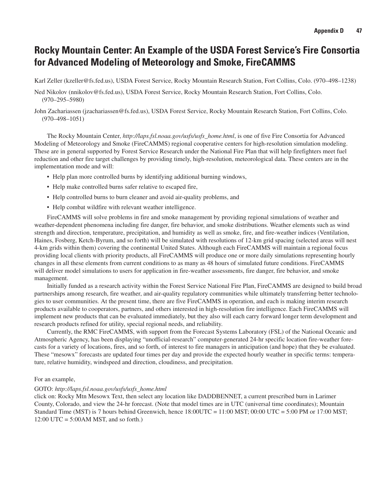## **Rocky Mountain Center: An Example of the USDA Forest Service's Fire Consortia for Advanced Modeling of Meteorology and Smoke, FireCAMMS**

Karl Zeller (kzeller@fs.fed.us), USDA Forest Service, Rocky Mountain Research Station, Fort Collins, Colo. (970–498–1238)

- Ned Nikolov (nnikolov@fs.fed.us), USDA Forest Service, Rocky Mountain Research Station, Fort Collins, Colo. (970–295–5980)
- John Zachariassen (jzachariassen@fs.fed.us), USDA Forest Service, Rocky Mountain Research Station, Fort Collins, Colo. (970–498–1051)

The Rocky Mountain Center, *http://laps.fsl.noaa.gov/usfs/usfs\_home.html*, is one of five Fire Consortia for Advanced Modeling of Meteorology and Smoke (FireCAMMS) regional cooperative centers for high-resolution simulation modeling. These are in general supported by Forest Service Research under the National Fire Plan that will help firefighters meet fuel reduction and other fire target challenges by providing timely, high-resolution, meteorological data. These centers are in the implementation mode and will:

- Help plan more controlled burns by identifying additional burning windows,
- Help make controlled burns safer relative to escaped fire,
- Help controlled burns to burn cleaner and avoid air-quality problems, and
- Help combat wildfire with relevant weather intelligence.

FireCAMMS will solve problems in fire and smoke management by providing regional simulations of weather and weather-dependent phenomena including fire danger, fire behavior, and smoke distributions. Weather elements such as wind strength and direction, temperature, precipitation, and humidity as well as smoke, fire, and fire-weather indices (Ventilation, Haines, Fosberg, Ketch-Byrum, and so forth) will be simulated with resolutions of 12-km grid spacing (selected areas will nest 4-km grids within them) covering the continental United States. Although each FireCAMMS will maintain a regional focus providing local clients with priority products, all FireCAMMS will produce one or more daily simulations representing hourly changes in all these elements from current conditions to as many as 48 hours of simulated future conditions. FireCAMMS will deliver model simulations to users for application in fire-weather assessments, fire danger, fire behavior, and smoke management.

Initially funded as a research activity within the Forest Service National Fire Plan, FireCAMMS are designed to build broad partnerships among research, fire weather, and air-quality regulatory communities while ultimately transferring better technologies to user communities. At the present time, there are five FireCAMMS in operation, and each is making interim research products available to cooperators, partners, and others interested in high-resolution fire intelligence. Each FireCAMMS will implement new products that can be evaluated immediately, but they also will each carry forward longer term development and research products refined for utility, special regional needs, and reliability.

Currently, the RMC FireCAMMS, with support from the Forecast Systems Laboratory (FSL) of the National Oceanic and Atmospheric Agency, has been displaying "unofficial-research" computer-generated 24-hr specific location fire-weather forecasts for a variety of locations, fires, and so forth, of interest to fire managers in anticipation (and hope) that they be evaluated. These "mesowx" forecasts are updated four times per day and provide the expected hourly weather in specific terms: temperature, relative humidity, windspeed and direction, cloudiness, and precipitation.

#### For an example,

#### GOTO: *http://laps.fsl.noaa.gov/usfs/usfs\_home.html*

click on: Rocky Mtn Mesowx Text, then select any location like DADDBENNET, a current prescribed burn in Larimer County, Colorado, and view the 24-hr forecast. (Note that model times are in UTC (universal time coordinates); Mountain Standard Time (MST) is 7 hours behind Greenwich, hence 18:00UTC = 11:00 MST; 00:00 UTC = 5:00 PM or 17:00 MST; 12:00 UTC = 5:00AM MST, and so forth.)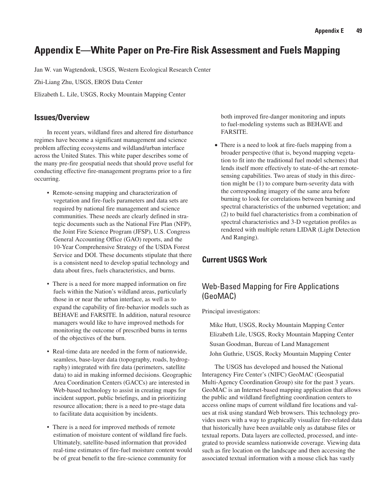## **Appendix E—White Paper on Pre-Fire Risk Assessment and Fuels Mapping**

Jan W. van Wagtendonk, USGS, Western Ecological Research Center

Zhi-Liang Zhu, USGS, EROS Data Center

Elizabeth L. Lile, USGS, Rocky Mountain Mapping Center

#### **Issues/Overview**

In recent years, wildland fires and altered fire disturbance regimes have become a significant management and science problem affecting ecosystems and wildland/urban interface across the United States. This white paper describes some of the many pre-fire geospatial needs that should prove useful for conducting effective fire-management programs prior to a fire occurring.

- Remote-sensing mapping and characterization of vegetation and fire-fuels parameters and data sets are required by national fire management and science communities. These needs are clearly defined in strategic documents such as the National Fire Plan (NFP), the Joint Fire Science Program (JFSP), U.S. Congress General Accounting Office (GAO) reports, and the 10-Year Comprehensive Strategy of the USDA Forest Service and DOI. These documents stipulate that there is a consistent need to develop spatial technology and data about fires, fuels characteristics, and burns.
- There is a need for more mapped information on fire fuels within the Nation's wildland areas, particularly those in or near the urban interface, as well as to expand the capability of fire-behavior models such as BEHAVE and FARSITE. In addition, natural resource managers would like to have improved methods for monitoring the outcome of prescribed burns in terms of the objectives of the burn.
- Real-time data are needed in the form of nationwide, seamless, base-layer data (topography, roads, hydrography) integrated with fire data (perimeters, satellite data) to aid in making informed decisions. Geographic Area Coordination Centers (GACCs) are interested in Web-based technology to assist in creating maps for incident support, public briefings, and in prioritizing resource allocation; there is a need to pre-stage data to facilitate data acquisition by incidents.
- There is a need for improved methods of remote estimation of moisture content of wildland fire fuels. Ultimately, satellite-based information that provided real-time estimates of fire-fuel moisture content would be of great benefit to the fire-science community for

both improved fire-danger monitoring and inputs to fuel-modeling systems such as BEHAVE and FARSITE.

• There is a need to look at fire-fuels mapping from a broader perspective (that is, beyond mapping vegetation to fit into the traditional fuel model schemes) that lends itself more effectively to state-of-the-art remotesensing capabilities. Two areas of study in this direction might be (1) to compare burn-severity data with the corresponding imagery of the same area before burning to look for correlations between burning and spectral characteristics of the unburned vegetation; and (2) to build fuel characteristics from a combination of spectral characteristics and 3-D vegetation profiles as rendered with multiple return LIDAR (Light Detection And Ranging).

### **Current USGS Work**

### Web-Based Mapping for Fire Applications (GeoMAC)

Principal investigators:

Mike Hutt, USGS, Rocky Mountain Mapping Center Elizabeth Lile, USGS, Rocky Mountain Mapping Center Susan Goodman, Bureau of Land Management John Guthrie, USGS, Rocky Mountain Mapping Center

The USGS has developed and housed the National Interagency Fire Center's (NIFC) GeoMAC (Geospatial Multi-Agency Coordination Group) site for the past 3 years. GeoMAC is an Internet-based mapping application that allows the public and wildland firefighting coordination centers to access online maps of current wildland fire locations and values at risk using standard Web browsers. This technology provides users with a way to graphically visualize fire-related data that historically have been available only as database files or textual reports. Data layers are collected, processed, and integrated to provide seamless nationwide coverage. Viewing data such as fire location on the landscape and then accessing the associated textual information with a mouse click has vastly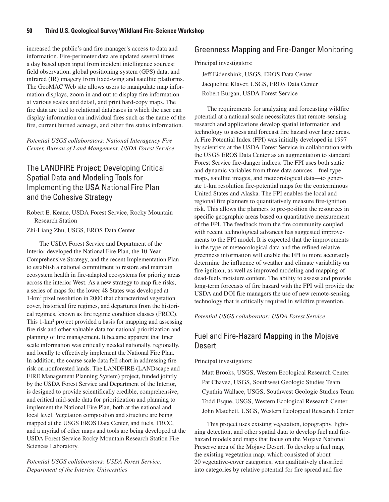increased the public's and fire manager's access to data and information. Fire-perimeter data are updated several times a day based upon input from incident intelligence sources: field observation, global positioning system (GPS) data, and infrared (IR) imagery from fixed-wing and satellite platforms. The GeoMAC Web site allows users to manipulate map information displays, zoom in and out to display fire information at various scales and detail, and print hard-copy maps. The fire data are tied to relational databases in which the user can display information on individual fires such as the name of the fire, current burned acreage, and other fire status information.

*Potential USGS collaborators: National Interagency Fire Center, Bureau of Land Mangement, USDA Forest Service*

## The LANDFIRE Project: Developing Critical Spatial Data and Modeling Tools for Implementing the USA National Fire Plan and the Cohesive Strategy

Robert E. Keane, USDA Forest Service, Rocky Mountain Research Station

Zhi-Liang Zhu, USGS, EROS Data Center

The USDA Forest Service and Department of the Interior developed the National Fire Plan, the 10-Year Comprehensive Strategy, and the recent Implementation Plan to establish a national commitment to restore and maintain ecosystem health in fire-adapted ecosystems for priority areas across the interior West. As a new strategy to map fire risks, a series of maps for the lower 48 States was developed at 1-km2 pixel resolution in 2000 that characterized vegetation cover, historical fire regimes, and departures from the historical regimes, known as fire regime condition classes (FRCC). This 1-km2 project provided a basis for mapping and assessing fire risk and other valuable data for national prioritization and planning of fire management. It became apparent that finer scale information was critically needed nationally, regionally, and locally to effectively implement the National Fire Plan. In addition, the coarse scale data fell short in addressing fire risk on nonforested lands. The LANDFIRE (LANDscape and FIRE Management Planning System) project, funded jointly by the USDA Forest Service and Department of the Interior, is designed to provide scientifically credible, comprehensive, and critical mid-scale data for prioritization and planning to implement the National Fire Plan, both at the national and local level. Vegetation composition and structure are being mapped at the USGS EROS Data Center, and fuels, FRCC, and a myriad of other maps and tools are being developed at the USDA Forest Service Rocky Mountain Research Station Fire Sciences Laboratory.

*Potential USGS collaborators: USDA Forest Service, Department of the Interior, Universities*

### Greenness Mapping and Fire-Danger Monitoring

Principal investigators:

Jeff Eidenshink, USGS, EROS Data Center Jacqueline Klaver, USGS, EROS Data Center Robert Burgan, USDA Forest Service

The requirements for analyzing and forecasting wildfire potential at a national scale necessitates that remote-sensing research and applications develop spatial information and technology to assess and forecast fire hazard over large areas. A Fire Potential Index (FPI) was initially developed in 1997 by scientists at the USDA Forest Service in collaboration with the USGS EROS Data Center as an augmentation to standard Forest Service fire-danger indices. The FPI uses both static and dynamic variables from three data sources—fuel type maps, satellite images, and meteorological data—to generate 1-km resolution fire-potential maps for the conterminous United States and Alaska. The FPI enables the local and regional fire planners to quantitatively measure fire-ignition risk. This allows the planners to pre-position the resources in specific geographic areas based on quantitative measurement of the FPI. The feedback from the fire community coupled with recent technological advances has suggested improvements to the FPI model. It is expected that the improvements in the type of meteorological data and the refined relative greenness information will enable the FPI to more accurately determine the influence of weather and climate variability on fire ignition, as well as improved modeling and mapping of dead-fuels moisture content. The ability to assess and provide long-term forecasts of fire hazard with the FPI will provide the USDA and DOI fire managers the use of new remote-sensing technology that is critically required in wildfire prevention.

*Potential USGS collaborator: USDA Forest Service*

### Fuel and Fire-Hazard Mapping in the Mojave **Desert**

Principal investigators:

Matt Brooks, USGS, Western Ecological Research Center Pat Chavez, USGS, Southwest Geologic Studies Team Cynthia Wallace, USGS, Southwest Geologic Studies Team Todd Esque, USGS, Western Ecological Research Center John Matchett, USGS, Western Ecological Research Center

This project uses existing vegetation, topography, lightning detection, and other spatial data to develop fuel and firehazard models and maps that focus on the Mojave National Preserve area of the Mojave Desert. To develop a fuel map, the existing vegetation map, which consisted of about 20 vegetative-cover categories, was qualitatively classified into categories by relative potential for fire spread and fire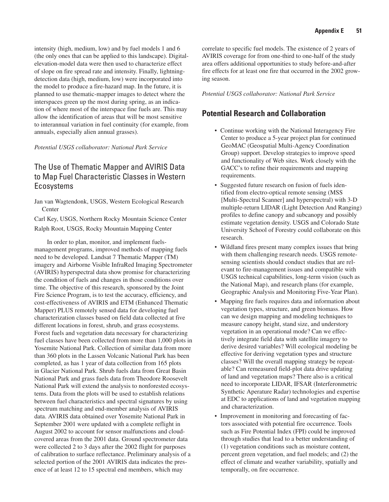intensity (high, medium, low) and by fuel models 1 and 6 (the only ones that can be applied to this landscape). Digitalelevation-model data were then used to characterize effect of slope on fire spread rate and intensity. Finally, lightningdetection data (high, medium, low) were incorporated into the model to produce a fire-hazard map. In the future, it is planned to use thematic-mapper images to detect where the interspaces green up the most during spring, as an indication of where most of the interspace fine fuels are. This may allow the identification of areas that will be most sensitive to interannual variation in fuel continuity (for example, from annuals, especially alien annual grasses).

*Potential USGS collaborator: National Park Service* 

### The Use of Thematic Mapper and AVIRIS Data to Map Fuel Characteristic Classes in Western Ecosystems

Jan van Wagtendonk, USGS, Western Ecological Research **Center** 

Carl Key, USGS, Northern Rocky Mountain Science Center Ralph Root, USGS, Rocky Mountain Mapping Center

In order to plan, monitor, and implement fuelsmanagement programs, improved methods of mapping fuels need to be developed. Landsat 7 Thematic Mapper (TM) imagery and Airborne Visible InfraRed Imaging Spectrometer (AVIRIS) hyperspectral data show promise for characterizing the condition of fuels and changes in those conditions over time. The objective of this research, sponsored by the Joint Fire Science Program, is to test the accuracy, efficiency, and cost-effectiveness of AVIRIS and ETM (Enhanced Thematic Mapper) PLUS remotely sensed data for developing fuel characterization classes based on field data collected at five different locations in forest, shrub, and grass ecosystems. Forest fuels and vegetation data necessary for characterizing fuel classes have been collected from more than 1,000 plots in Yosemite National Park. Collection of similar data from more than 360 plots in the Lassen Volcanic National Park has been completed, as has 1 year of data collection from 165 plots in Glacier National Park. Shrub fuels data from Great Basin National Park and grass fuels data from Theodore Roosevelt National Park will extend the analysis to nonforested ecosystems. Data from the plots will be used to establish relations between fuel characteristics and spectral signatures by using spectrum matching and end-member analysis of AVIRIS data. AVIRIS data obtained over Yosemite National Park in September 2001 were updated with a complete reflight in August 2002 to account for sensor malfunctions and cloudcovered areas from the 2001 data. Ground spectrometer data were collected 2 to 3 days after the 2002 flight for purposes of calibration to surface reflectance. Preliminary analysis of a selected portion of the 2001 AVIRIS data indicates the presence of at least 12 to 15 spectral end members, which may

correlate to specific fuel models. The existence of 2 years of AVIRIS coverage for from one-third to one-half of the study area offers additional opportunities to study before-and-after fire effects for at least one fire that occurred in the 2002 growing season.

*Potential USGS collaborator: National Park Service*

### **Potential Research and Collaboration**

- Continue working with the National Interagency Fire Center to produce a 5-year project plan for continued GeoMAC (Geospatial Multi-Agency Coordination Group) support. Develop strategies to improve speed and functionality of Web sites. Work closely with the GACC's to refine their requirements and mapping requirements.
- Suggested future research on fusion of fuels identified from electro-optical remote sensing (MSS [Multi-Spectral Scanner] and hyperspectral) with 3-D multiple-return LIDAR (Light Detection And Ranging) profiles to define canopy and subcanopy and possibly estimate vegetation density. USGS and Colorado State University School of Forestry could collaborate on this research.
- Wildland fires present many complex issues that bring with them challenging research needs. USGS remotesensing scientists should conduct studies that are relevant to fire-management issues and compatible with USGS technical capabilities, long-term vision (such as the National Map), and research plans (for example, Geographic Analysis and Monitoring Five-Year Plan).
- Mapping fire fuels requires data and information about vegetation types, structure, and green biomass. How can we design mapping and modeling techniques to measure canopy height, stand size, and understory vegetation in an operational mode? Can we effectively integrate field data with satellite imagery to derive desired variables? Will ecological modeling be effective for deriving vegetation types and structure classes? Will the overall mapping strategy be repeatable? Can remeasured field-plot data drive updating of land and vegetation maps? There also is a critical need to incorporate LIDAR, IFSAR (Interferonmetric Synthetic Aperature Radar) technologies and expertise at EDC to applications of land and vegetation mapping and characterization.
- Improvement in monitoring and forecasting of factors associated with potential fire occurrence. Tools such as Fire Potential Index (FPI) could be improved through studies that lead to a better understanding of (1) vegetation conditions such as moisture content, percent green vegetation, and fuel models; and (2) the effect of climate and weather variability, spatially and temporally, on fire occurrence.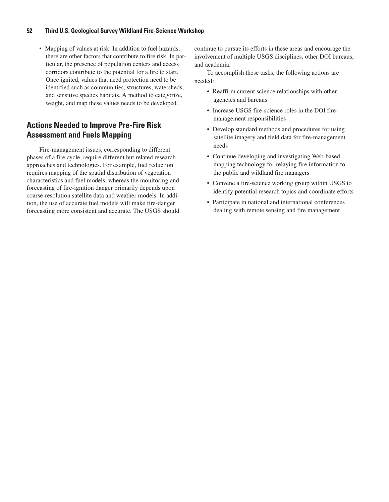#### **52 Third U.S. Geological Survey Wildland Fire-Science Workshop**

• Mapping of values at risk. In addition to fuel hazards, there are other factors that contribute to fire risk. In particular, the presence of population centers and access corridors contribute to the potential for a fire to start. Once ignited, values that need protection need to be identified such as communities, structures, watersheds, and sensitive species habitats. A method to categorize, weight, and map these values needs to be developed.

### **Actions Needed to Improve Pre-Fire Risk Assessment and Fuels Mapping**

Fire-management issues, corresponding to different phases of a fire cycle, require different but related research approaches and technologies. For example, fuel reduction requires mapping of the spatial distribution of vegetation characteristics and fuel models, whereas the monitoring and forecasting of fire-ignition danger primarily depends upon coarse-resolution satellite data and weather models. In addition, the use of accurate fuel models will make fire-danger forecasting more consistent and accurate. The USGS should continue to pursue its efforts in these areas and encourage the involvement of multiple USGS disciplines, other DOI bureaus, and academia.

To accomplish these tasks, the following actions are needed:

- Reaffirm current science relationships with other agencies and bureaus
- Increase USGS fire-science roles in the DOI firemanagement responsibilities
- Develop standard methods and procedures for using satellite imagery and field data for fire-management needs
- Continue developing and investigating Web-based mapping technology for relaying fire information to the public and wildland fire managers
- Convene a fire-science working group within USGS to identify potential research topics and coordinate efforts
- Participate in national and international conferences dealing with remote sensing and fire management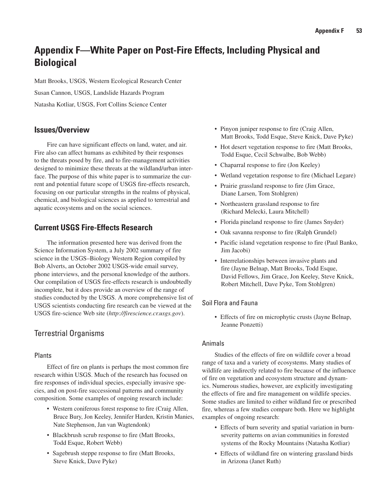## **Appendix F—White Paper on Post-Fire Effects, Including Physical and Biological**

Matt Brooks, USGS, Western Ecological Research Center Susan Cannon, USGS, Landslide Hazards Program Natasha Kotliar, USGS, Fort Collins Science Center

### **Issues/Overview**

Fire can have significant effects on land, water, and air. Fire also can affect humans as exhibited by their responses to the threats posed by fire, and to fire-management activities designed to minimize these threats at the wildland/urban interface. The purpose of this white paper is to summarize the current and potential future scope of USGS fire-effects research, focusing on our particular strengths in the realms of physical, chemical, and biological sciences as applied to terrestrial and aquatic ecosystems and on the social sciences.

### **Current USGS Fire-Effects Research**

The information presented here was derived from the Science Information System, a July 2002 summary of fire science in the USGS–Biology Western Region compiled by Bob Alverts, an October 2002 USGS-wide email survey, phone interviews, and the personal knowledge of the authors. Our compilation of USGS fire-effects research is undoubtedly incomplete, but it does provide an overview of the range of studies conducted by the USGS. A more comprehensive list of USGS scientists conducting fire research can be viewed at the USGS fire-science Web site (*http://firescience.cr.usgs.gov*).

### Terrestrial Organisms

#### Plants

Effect of fire on plants is perhaps the most common fire research within USGS. Much of the research has focused on fire responses of individual species, especially invasive species, and on post-fire successional patterns and community composition. Some examples of ongoing research include:

- Western coniferous forest response to fire (Craig Allen, Bruce Bury, Jon Keeley, Jennifer Harden, Kristin Manies, Nate Stephenson, Jan van Wagtendonk)
- Blackbrush scrub response to fire (Matt Brooks, Todd Esque, Robert Webb)
- Sagebrush steppe response to fire (Matt Brooks, Steve Knick, Dave Pyke)
- Pinyon juniper response to fire (Craig Allen, Matt Brooks, Todd Esque, Steve Knick, Dave Pyke)
- Hot desert vegetation response to fire (Matt Brooks, Todd Esque, Cecil Schwalbe, Bob Webb)
- Chaparral response to fire (Jon Keeley)
- Wetland vegetation response to fire (Michael Legare)
- Prairie grassland response to fire (Jim Grace, Diane Larsen, Tom Stohlgren)
- Northeastern grassland response to fire (Richard Melecki, Laura Mitchell)
- Florida pineland response to fire (James Snyder)
- Oak savanna response to fire (Ralph Grundel)
- Pacific island vegetation response to fire (Paul Banko, Jim Jacobi)
- Interrelationships between invasive plants and fire (Jayne Belnap, Matt Brooks, Todd Esque, David Fellows, Jim Grace, Jon Keeley, Steve Knick, Robert Mitchell, Dave Pyke, Tom Stohlgren)

#### Soil Flora and Fauna

• Effects of fire on microphytic crusts (Jayne Belnap, Jeanne Ponzetti)

#### Animals

Studies of the effects of fire on wildlife cover a broad range of taxa and a variety of ecosystems. Many studies of wildlife are indirectly related to fire because of the influence of fire on vegetation and ecosystem structure and dynamics. Numerous studies, however, are explicitly investigating the effects of fire and fire management on wildlife species. Some studies are limited to either wildland fire or prescribed fire, whereas a few studies compare both. Here we highlight examples of ongoing research:

- Effects of burn severity and spatial variation in burnseverity patterns on avian communities in forested systems of the Rocky Mountains (Natasha Kotliar)
- Effects of wildland fire on wintering grassland birds in Arizona (Janet Ruth)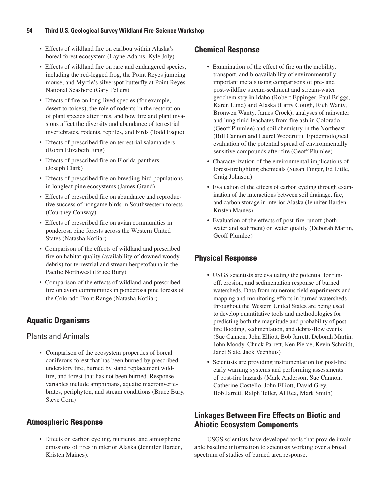#### **54 Third U.S. Geological Survey Wildland Fire-Science Workshop**

- Effects of wildland fire on caribou within Alaska's boreal forest ecosystem (Layne Adams, Kyle Joly)
- Effects of wildland fire on rare and endangered species, including the red-legged frog, the Point Reyes jumping mouse, and Myrtle's silverspot butterfly at Point Reyes National Seashore (Gary Fellers)
- Effects of fire on long-lived species (for example, desert tortoises), the role of rodents in the restoration of plant species after fires, and how fire and plant invasions affect the diversity and abundance of terrestrial invertebrates, rodents, reptiles, and birds (Todd Esque)
- Effects of prescribed fire on terrestrial salamanders (Robin Elizabeth Jung)
- Effects of prescribed fire on Florida panthers (Joseph Clark)
- Effects of prescribed fire on breeding bird populations in longleaf pine ecosystems (James Grand)
- Effects of prescribed fire on abundance and reproductive success of nongame birds in Southwestern forests (Courtney Conway)
- Effects of prescribed fire on avian communities in ponderosa pine forests across the Western United States (Natasha Kotliar)
- Comparison of the effects of wildland and prescribed fire on habitat quality (availability of downed woody debris) for terrestrial and stream herpetofauna in the Pacific Northwest (Bruce Bury)
- Comparison of the effects of wildland and prescribed fire on avian communities in ponderosa pine forests of the Colorado Front Range (Natasha Kotliar)

### **Aquatic Organisms**

### Plants and Animals

• Comparison of the ecosystem properties of boreal coniferous forest that has been burned by prescribed understory fire, burned by stand replacement wildfire, and forest that has not been burned. Response variables include amphibians, aquatic macroinvertebrates, periphyton, and stream conditions (Bruce Bury, Steve Corn)

### **Atmospheric Response**

• Effects on carbon cycling, nutrients, and atmospheric emissions of fires in interior Alaska (Jennifer Harden, Kristen Maines).

### **Chemical Response**

- Examination of the effect of fire on the mobility, transport, and bioavailability of environmentally important metals using comparisons of pre- and post-wildfire stream-sediment and stream-water geochemistry in Idaho (Robert Eppinger, Paul Briggs, Karen Lund) and Alaska (Larry Gough, Rich Wanty, Bronwen Wanty, James Crock); analyses of rainwater and lung fluid leachates from fire ash in Colorado (Geoff Plumlee) and soil chemistry in the Northeast (Bill Cannon and Laurel Woodruff). Epidemiological evaluation of the potential spread of environmentally sensitive compounds after fire (Geoff Plumlee)
- Characterization of the environmental implications of forest-firefighting chemicals (Susan Finger, Ed Little, Craig Johnson)
- Evaluation of the effects of carbon cycling through examination of the interactions between soil drainage, fire, and carbon storage in interior Alaska (Jennifer Harden, Kristen Maines)
- Evaluation of the effects of post-fire runoff (both water and sediment) on water quality (Deborah Martin, Geoff Plumlee)

### **Physical Response**

- USGS scientists are evaluating the potential for runoff, erosion, and sedimentation response of burned watersheds. Data from numerous field experiments and mapping and monitoring efforts in burned watersheds throughout the Western United States are being used to develop quantitative tools and methodologies for predicting both the magnitude and probability of postfire flooding, sedimentation, and debris-flow events (Sue Cannon, John Elliott, Bob Jarrett, Deborah Martin, John Moody, Chuck Parrett, Ken Pierce, Kevin Schmidt, Janet Slate, Jack Veenhuis)
- Scientists are providing instrumentation for post-fire early warning systems and performing assessments of post-fire hazards (Mark Anderson, Sue Cannon, Catherine Costello, John Elliott, David Grey, Bob Jarrett, Ralph Teller, Al Rea, Mark Smith)

### **Linkages Between Fire Effects on Biotic and Abiotic Ecosystem Components**

USGS scientists have developed tools that provide invaluable baseline information to scientists working over a broad spectrum of studies of burned area response.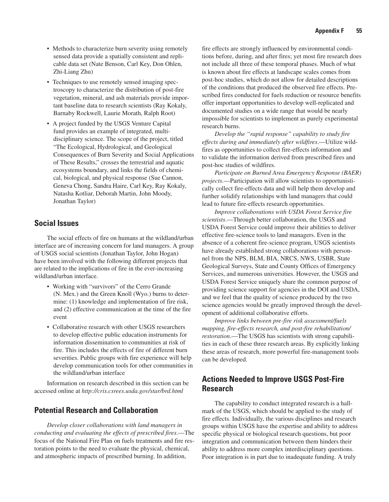- Methods to characterize burn severity using remotely sensed data provide a spatially consistent and replicable data set (Nate Benson, Carl Key, Don Ohlen, Zhi-Liang Zhu)
- Techniques to use remotely sensed imaging spectroscopy to characterize the distribution of post-fire vegetation, mineral, and ash materials provide important baseline data to research scientists (Ray Kokaly, Barnaby Rockwell, Laurie Morath, Ralph Root)
- A project funded by the USGS Venture Capital fund provides an example of integrated, multidisciplinary science. The scope of the project, titled "The Ecological, Hydrological, and Geological Consequences of Burn Severity and Social Applications of These Results," crosses the terrestrial and aquatic ecosystems boundary, and links the fields of chemical, biological, and physical response (Sue Cannon, Geneva Chong, Sandra Haire, Carl Key, Ray Kokaly, Natasha Kotliar, Deborah Martin, John Moody, Jonathan Taylor)

### **Social Issues**

The social effects of fire on humans at the wildland/urban interface are of increasing concern for land managers. A group of USGS social scientists (Jonathan Taylor, John Hogan) have been involved with the following different projects that are related to the implications of fire in the ever-increasing wildland/urban interface.

- Working with "survivors" of the Cerro Grande (N. Mex.) and the Green Knoll (Wyo.) burns to determine: (1) knowledge and implementation of fire risk, and (2) effective communication at the time of the fire event
- Collaborative research with other USGS researchers to develop effective public education instruments for information dissemination to communities at risk of fire. This includes the effects of fire of different burn severities. Public groups with fire experience will help develop communication tools for other communities in the wildland/urban interface

Information on research described in this section can be accessed online at *http://cris.csrees.usda.gov/star/brd.html*

#### **Potential Research and Collaboration**

*Develop closer collaborations with land managers in conducting and evaluating the effects of prescribed fires*.—The focus of the National Fire Plan on fuels treatments and fire restoration points to the need to evaluate the physical, chemical, and atmospheric impacts of prescribed burning. In addition,

fire effects are strongly influenced by environmental conditions before, during, and after fires; yet most fire research does not include all three of these temporal phases. Much of what is known about fire effects at landscape scales comes from post-hoc studies, which do not allow for detailed descriptions of the conditions that produced the observed fire effects. Prescribed fires conducted for fuels reduction or resource benefits offer important opportunities to develop well-replicated and documented studies on a wide range that would be nearly impossible for scientists to implement as purely experimental research burns.

*Develop the "rapid response" capability to study fire effects during and immediately after wildfires*.—Utilize wildfires as opportunities to collect fire-effects information and to validate the information derived from prescribed fires and post-hoc studies of wildfires.

*Participate on Burned Area Emergency Response (BAER) projects*.—Participation will allow scientists to opportunistically collect fire-effects data and will help them develop and further solidify relationships with land managers that could lead to future fire-effects research opportunities.

*Improve collaborations with USDA Forest Service fire scientists*.—Through better collaboration, the USGS and USDA Forest Service could improve their abilities to deliver effective fire-science tools to land managers. Even in the absence of a coherent fire-science program, USGS scientists have already established strong collaborations with personnel from the NPS, BLM, BIA, NRCS, NWS, USBR, State Geological Surveys, State and County Offices of Emergency Services, and numerous universities. However, the USGS and USDA Forest Service uniquely share the common purpose of providing science support for agencies in the DOI and USDA, and we feel that the quality of science produced by the two science agencies would be greatly improved through the development of additional collaborative efforts.

*Improve links between pre-fire risk assessment/fuels mapping, fire-effects research, and post-fire rehabilitation/ restoration*.—The USGS has scientists with strong capabilities in each of these three research areas. By explicitly linking these areas of research, more powerful fire-management tools can be developed.

#### **Actions Needed to Improve USGS Post-Fire Research**

The capability to conduct integrated research is a hallmark of the USGS, which should be applied to the study of fire effects. Individually, the various disciplines and research groups within USGS have the expertise and ability to address specific physical or biological research questions, but poor integration and communication between them hinders their ability to address more complex interdisciplinary questions. Poor integration is in part due to inadequate funding. A truly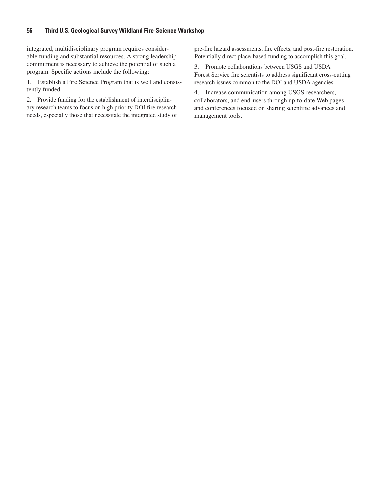#### **56 Third U.S. Geological Survey Wildland Fire-Science Workshop**

integrated, multidisciplinary program requires considerable funding and substantial resources. A strong leadership commitment is necessary to achieve the potential of such a program. Specific actions include the following:

1. Establish a Fire Science Program that is well and consistently funded.

2. Provide funding for the establishment of interdisciplinary research teams to focus on high priority DOI fire research needs, especially those that necessitate the integrated study of pre-fire hazard assessments, fire effects, and post-fire restoration. Potentially direct place-based funding to accomplish this goal.

3. Promote collaborations between USGS and USDA Forest Service fire scientists to address significant cross-cutting research issues common to the DOI and USDA agencies.

4. Increase communication among USGS researchers, collaborators, and end-users through up-to-date Web pages and conferences focused on sharing scientific advances and management tools.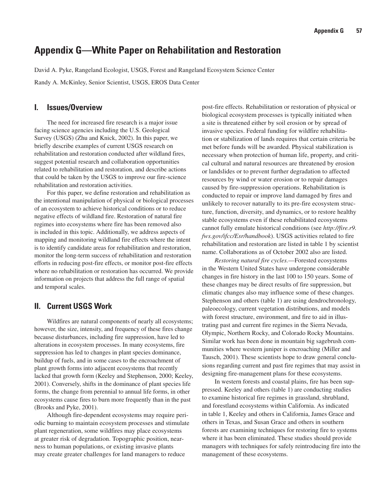## **Appendix G—White Paper on Rehabilitation and Restoration**

David A. Pyke, Rangeland Ecologist, USGS, Forest and Rangeland Ecosystem Science Center

Randy A. McKinley, Senior Scientist, USGS, EROS Data Center

#### **I. Issues/Overview**

The need for increased fire research is a major issue facing science agencies including the U.S. Geological Survey (USGS) (Zhu and Knick, 2002). In this paper, we briefly describe examples of current USGS research on rehabilitation and restoration conducted after wildland fires, suggest potential research and collaboration opportunities related to rehabilitation and restoration, and describe actions that could be taken by the USGS to improve our fire-science rehabilitation and restoration activities.

For this paper, we define restoration and rehabilitation as the intentional manipulation of physical or biological processes of an ecosystem to achieve historical conditions or to reduce negative effects of wildland fire. Restoration of natural fire regimes into ecosystems where fire has been removed also is included in this topic. Additionally, we address aspects of mapping and monitoring wildland fire effects where the intent is to identify candidate areas for rehabilitation and restoration, monitor the long-term success of rehabilitation and restoration efforts in reducing post-fire effects, or monitor post-fire effects where no rehabilitation or restoration has occurred. We provide information on projects that address the full range of spatial and temporal scales.

#### **II. Current USGS Work**

Wildfires are natural components of nearly all ecosystems; however, the size, intensity, and frequency of these fires change because disturbances, including fire suppression, have led to alterations in ecosystem processes. In many ecosystems, fire suppression has led to changes in plant species dominance, buildup of fuels, and in some cases to the encroachment of plant growth forms into adjacent ecosystems that recently lacked that growth form (Keeley and Stephenson, 2000; Keeley, 2001). Conversely, shifts in the dominance of plant species life forms, the change from perennial to annual life forms, in other ecosystems cause fires to burn more frequently than in the past (Brooks and Pyke, 2001).

Although fire-dependent ecosystems may require periodic burning to maintain ecosystem processes and stimulate plant regeneration, some wildfires may place ecosystems at greater risk of degradation. Topographic position, nearness to human populations, or existing invasive plants may create greater challenges for land managers to reduce

post-fire effects. Rehabilitation or restoration of physical or biological ecosystem processes is typically initiated when a site is threatened either by soil erosion or by spread of invasive species. Federal funding for wildfire rehabilitation or stabilization of lands requires that certain criteria be met before funds will be awarded. Physical stabilization is necessary when protection of human life, property, and critical cultural and natural resources are threatened by erosion or landslides or to prevent further degradation to affected resources by wind or water erosion or to repair damages caused by fire-suppression operations. Rehabilitation is conducted to repair or improve land damaged by fires and unlikely to recover naturally to its pre-fire ecosystem structure, function, diversity, and dynamics, or to restore healthy stable ecosystems even if these rehabilitated ecosystems cannot fully emulate historical conditions (see *http://fire.r9. fws.gov/ifcc/Esr/handbook*). USGS activities related to fire rehabilitation and restoration are listed in table 1 by scientist name. Collaborations as of October 2002 also are listed.

*Restoring natural fire cycles.*—Forested ecosystems in the Western United States have undergone considerable changes in fire history in the last 100 to 150 years. Some of these changes may be direct results of fire suppression, but climatic changes also may influence some of these changes. Stephenson and others (table 1) are using dendrochronology, paleoecology, current vegetation distributions, and models with forest structure, environment, and fire to aid in illustrating past and current fire regimes in the Sierra Nevada, Olympic, Northern Rocky, and Colorado Rocky Mountains. Similar work has been done in mountain big sagebrush communities where western juniper is encroaching (Miller and Tausch, 2001). These scientists hope to draw general conclusions regarding current and past fire regimes that may assist in designing fire-management plans for these ecosystems.

In western forests and coastal plains, fire has been suppressed. Keeley and others (table 1) are conducting studies to examine historical fire regimes in grassland, shrubland, and forestland ecosystems within California. As indicated in table 1, Keeley and others in California, James Grace and others in Texas, and Susan Grace and others in southern forests are examining techniques for restoring fire to systems where it has been eliminated. These studies should provide managers with techniques for safely reintroducing fire into the management of these ecosystems.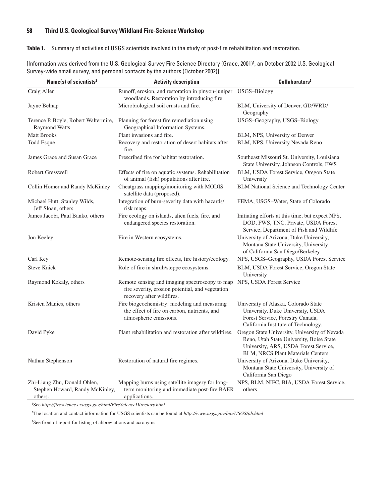#### **58 Third U.S. Geological Survey Wildland Fire-Science Workshop**

**Table 1.** Summary of activities of USGS scientists involved in the study of post-fire rehabilitation and restoration.

| Name(s) of scientists <sup>2</sup>                                         | <b>Activity description</b>                                                                                                     | Collaborators <sup>3</sup>                                                                                                                                                     |
|----------------------------------------------------------------------------|---------------------------------------------------------------------------------------------------------------------------------|--------------------------------------------------------------------------------------------------------------------------------------------------------------------------------|
| Craig Allen                                                                | Runoff, erosion, and restoration in pinyon-juniper USGS-Biology<br>woodlands. Restoration by introducing fire.                  |                                                                                                                                                                                |
| Jayne Belnap                                                               | Microbiological soil crusts and fire.                                                                                           | BLM, University of Denver, GD/WRD/<br>Geography                                                                                                                                |
| Terence P. Boyle, Robert Waltermire,<br><b>Raymond Watts</b>               | Planning for forest fire remediation using<br>Geographical Information Systems.                                                 | USGS-Geography, USGS-Biology                                                                                                                                                   |
| <b>Matt Brooks</b>                                                         | Plant invasions and fire.                                                                                                       | BLM, NPS, University of Denver                                                                                                                                                 |
| Todd Esque                                                                 | Recovery and restoration of desert habitats after<br>fire.                                                                      | BLM, NPS, University Nevada Reno                                                                                                                                               |
| James Grace and Susan Grace                                                | Prescribed fire for habitat restoration.                                                                                        | Southeast Missouri St. University, Louisiana<br>State University, Johnson Controls, FWS                                                                                        |
| <b>Robert Gresswell</b>                                                    | Effects of fire on aquatic systems. Rehabilitation<br>of animal (fish) populations after fire.                                  | BLM, USDA Forest Service, Oregon State<br>University                                                                                                                           |
| Collin Homer and Randy McKinley                                            | Cheatgrass mapping/monitoring with MODIS<br>satellite data (proposed).                                                          | <b>BLM National Science and Technology Center</b>                                                                                                                              |
| Michael Hutt, Stanley Wilds,<br>Jeff Sloan, others                         | Integration of burn-severity data with hazards/<br>risk maps.                                                                   | FEMA, USGS-Water, State of Colorado                                                                                                                                            |
| James Jacobi, Paul Banko, others                                           | Fire ecology on islands, alien fuels, fire, and<br>endangered species restoration.                                              | Initiating efforts at this time, but expect NPS,<br>DOD, FWS, TNC, Private, USDA Forest<br>Service, Department of Fish and Wildlife                                            |
| Jon Keeley                                                                 | Fire in Western ecosystems.                                                                                                     | University of Arizona, Duke University,<br>Montana State University, University<br>of California San Diego/Berkeley                                                            |
| Carl Key                                                                   | Remote-sensing fire effects, fire history/ecology.                                                                              | NPS, USGS-Geography, USDA Forest Service                                                                                                                                       |
| <b>Steve Knick</b>                                                         | Role of fire in shrub/steppe ecosystems.                                                                                        | BLM, USDA Forest Service, Oregon State<br>University                                                                                                                           |
| Raymond Kokaly, others                                                     | Remote sensing and imaging spectroscopy to map<br>fire severity, erosion potential, and vegetation<br>recovery after wildfires. | NPS, USDA Forest Service                                                                                                                                                       |
| Kristen Manies, others                                                     | Fire biogeochemistry: modeling and measuring<br>the effect of fire on carbon, nutrients, and<br>atmospheric emissions.          | University of Alaska, Colorado State<br>University, Duke University, USDA<br>Forest Service, Forestry Canada,<br>California Institute of Technology.                           |
| David Pyke                                                                 | Plant rehabilitation and restoration after wildfires.                                                                           | Oregon State University, University of Nevada<br>Reno, Utah State University, Boise State<br>University, ARS, USDA Forest Service,<br><b>BLM, NRCS Plant Materials Centers</b> |
| Nathan Stephenson                                                          | Restoration of natural fire regimes.                                                                                            | University of Arizona, Duke University,<br>Montana State University, University of<br>California San Diego                                                                     |
| Zhi-Liang Zhu, Donald Ohlen,<br>Stephen Howard, Randy McKinley,<br>others. | Mapping burns using satellite imagery for long-<br>term monitoring and immediate post-fire BAER<br>applications.                | NPS, BLM, NIFC, BIA, USDA Forest Service,<br>others                                                                                                                            |

[Information was derived from the U.S. Geological Survey Fire Science Directory (Grace, 2001)', an October 2002 U.S. Geological Survey-wide email survey, and personal contacts by the authors (October 2002)]

1 See *http://firescience.cr.usgs.gov/html/FireScienceDirectory.html*

2 The location and contact information for USGS scientists can be found at *http://www.usgs.gov/bio/USGS/ph.html*

3 See front of report for listing of abbreviations and acronyms.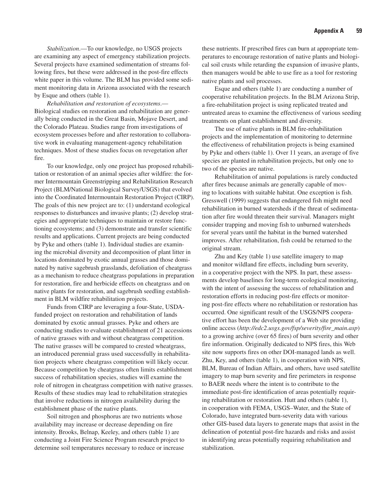*Stabilization*.—To our knowledge, no USGS projects are examining any aspect of emergency stabilization projects. Several projects have examined sedimentation of streams following fires, but these were addressed in the post-fire effects white paper in this volume. The BLM has provided some sediment monitoring data in Arizona associated with the research by Esque and others (table 1).

*Rehabilitation and restoration of ecosystems*.— Biological studies on restoration and rehabilitation are generally being conducted in the Great Basin, Mojave Desert, and the Colorado Plateau. Studies range from investigations of ecosystem processes before and after restoration to collaborative work in evaluating management-agency rehabilitation techniques. Most of these studies focus on revegetation after fire.

To our knowledge, only one project has proposed rehabilitation or restoration of an animal species after wildfire: the former Intermountain Greenstripping and Rehabilitation Research Project (BLM/National Biological Survey/USGS) that evolved into the Coordinated Intermountain Restoration Project (CIRP). The goals of this new project are to: (1) understand ecological responses to disturbances and invasive plants; (2) develop strategies and appropriate techniques to maintain or restore functioning ecosystems; and (3) demonstrate and transfer scientific results and applications. Current projects are being conducted by Pyke and others (table 1). Individual studies are examining the microbial diversity and decomposition of plant litter in locations dominated by exotic annual grasses and those dominated by native sagebrush grasslands, defoliation of cheatgrass as a mechanism to reduce cheatgrass populations in preparation for restoration, fire and herbicide effects on cheatgrass and on native plants for restoration, and sagebrush seedling establishment in BLM wildfire rehabilitation projects.

Funds from CIRP are leveraging a four-State, USDAfunded project on restoration and rehabilitation of lands dominated by exotic annual grasses. Pyke and others are conducting studies to evaluate establishment of 21 accessions of native grasses with and without cheatgrass competition. The native grasses will be compared to crested wheatgrass, an introduced perennial grass used successfully in rehabilitation projects where cheatgrass competition will likely occur. Because competition by cheatgrass often limits establishment success of rehabilitation species, studies will examine the role of nitrogen in cheatgrass competition with native grasses. Results of these studies may lead to rehabilitation strategies that involve reductions in nitrogen availability during the establishment phase of the native plants.

Soil nitrogen and phosphorus are two nutrients whose availability may increase or decrease depending on fire intensity. Brooks, Belnap, Keeley, and others (table 1) are conducting a Joint Fire Science Program research project to determine soil temperatures necessary to reduce or increase

these nutrients. If prescribed fires can burn at appropriate temperatures to encourage restoration of native plants and biological soil crusts while retarding the expansion of invasive plants, then managers would be able to use fire as a tool for restoring native plants and soil processes.

Esque and others (table 1) are conducting a number of cooperative rehabilitation projects. In the BLM Arizona Strip, a fire-rehabilitation project is using replicated treated and untreated areas to examine the effectiveness of various seeding treatments on plant establishment and diversity.

The use of native plants in BLM fire-rehabilitation projects and the implementation of monitoring to determine the effectiveness of rehabilitation projects is being examined by Pyke and others (table 1). Over 11 years, an average of five species are planted in rehabilitation projects, but only one to two of the species are native.

Rehabilitation of animal populations is rarely conducted after fires because animals are generally capable of moving to locations with suitable habitat. One exception is fish. Gresswell (1999) suggests that endangered fish might need rehabilitation in burned watersheds if the threat of sedimentation after fire would threaten their survival. Managers might consider trapping and moving fish to unburned watersheds for several years until the habitat in the burned watershed improves. After rehabilitation, fish could be returned to the original stream.

Zhu and Key (table 1) use satellite imagery to map and monitor wildland fire effects, including burn severity, in a cooperative project with the NPS. In part, these assessments develop baselines for long-term ecological monitoring, with the intent of assessing the success of rehabilitation and restoration efforts in reducing post-fire effects or monitoring post-fire effects where no rehabilitation or restoration has occurred. One significant result of the USGS/NPS cooperative effort has been the development of a Web site providing online access (*http://edc2.usgs.gov/fsp/severity/fire\_main.asp*) to a growing archive (over 65 fires) of burn severity and other fire information. Originally dedicated to NPS fires, this Web site now supports fires on other DOI-managed lands as well. Zhu, Key, and others (table 1), in cooperation with NPS, BLM, Bureau of Indian Affairs, and others, have used satellite imagery to map burn severity and fire perimeters in response to BAER needs where the intent is to contribute to the immediate post-fire identification of areas potentially requiring rehabilitation or restoration. Hutt and others (table 1), in cooperation with FEMA, USGS–Water, and the State of Colorado, have integrated burn-severity data with various other GIS-based data layers to generate maps that assist in the delineation of potential post-fire hazards and risks and assist in identifying areas potentially requiring rehabilitation and stabilization.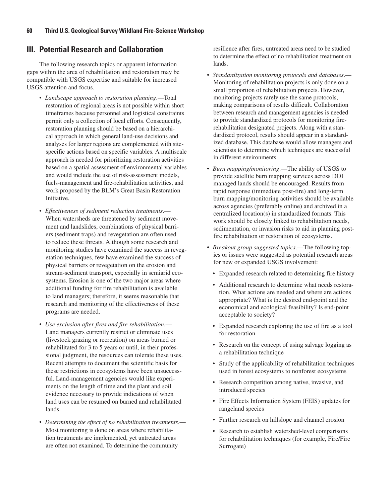### **III. Potential Research and Collaboration**

The following research topics or apparent information gaps within the area of rehabilitation and restoration may be compatible with USGS expertise and suitable for increased USGS attention and focus.

- *Landscape approach to restoration planning*.—Total restoration of regional areas is not possible within short timeframes because personnel and logistical constraints permit only a collection of local efforts. Consequently, restoration planning should be based on a hierarchical approach in which general land-use decisions and analyses for larger regions are complemented with sitespecific actions based on specific variables. A multiscale approach is needed for prioritizing restoration activities based on a spatial assessment of environmental variables and would include the use of risk-assessment models, fuels-management and fire-rehabilitation activities, and work proposed by the BLM's Great Basin Restoration Initiative.
- *Effectiveness of sediment reduction treatments*.— When watersheds are threatened by sediment movement and landslides, combinations of physical barriers (sediment traps) and revegetation are often used to reduce these threats. Although some research and monitoring studies have examined the success in revegetation techniques, few have examined the success of physical barriers or revegetation on the erosion and stream-sediment transport, especially in semiarid ecosystems. Erosion is one of the two major areas where additional funding for fire rehabilitation is available to land managers; therefore, it seems reasonable that research and monitoring of the effectiveness of these programs are needed.
- *Use exclusion after fires and fire rehabilitation*.— Land managers currently restrict or eliminate uses (livestock grazing or recreation) on areas burned or rehabilitated for 3 to 5 years or until, in their professional judgment, the resources can tolerate these uses. Recent attempts to document the scientific basis for these restrictions in ecosystems have been unsuccessful. Land-management agencies would like experiments on the length of time and the plant and soil evidence necessary to provide indications of when land uses can be resumed on burned and rehabilitated lands.
- *Determining the effect of no rehabilitation treatments*.— Most monitoring is done on areas where rehabilitation treatments are implemented, yet untreated areas are often not examined. To determine the community

resilience after fires, untreated areas need to be studied to determine the effect of no rehabilitation treatment on lands.

- *Standardization monitoring protocols and databases*.— Monitoring of rehabilitation projects is only done on a small proportion of rehabilitation projects. However, monitoring projects rarely use the same protocols, making comparisons of results difficult. Collaboration between research and management agencies is needed to provide standardized protocols for monitoring firerehabilitation designated projects. Along with a standardized protocol, results should appear in a standardized database. This database would allow managers and scientists to determine which techniques are successful in different environments.
- *Burn mapping/monitoring*.—The ability of USGS to provide satellite burn mapping services across DOI managed lands should be encouraged. Results from rapid response (immediate post-fire) and long-term burn mapping/monitoring activities should be available across agencies (preferably online) and archived in a centralized location(s) in standardized formats. This work should be closely linked to rehabilitation needs, sedimentation, or invasion risks to aid in planning postfire rehabilitation or restoration of ecosystems.
- *Breakout group suggested topics*.—The following topics or issues were suggested as potential research areas for new or expanded USGS involvement:
	- Expanded research related to determining fire history
	- Additional research to determine what needs restoration. What actions are needed and where are actions appropriate? What is the desired end-point and the economical and ecological feasibility? Is end-point acceptable to society?
	- Expanded research exploring the use of fire as a tool for restoration
	- Research on the concept of using salvage logging as a rehabilitation technique
	- Study of the applicability of rehabilitation techniques used in forest ecosystems to nonforest ecosystems
	- Research competition among native, invasive, and introduced species
	- Fire Effects Information System (FEIS) updates for rangeland species
	- Further research on hillslope and channel erosion
	- Research to establish watershed-level comparisons for rehabilitation techniques (for example, Fire/Fire Surrogate)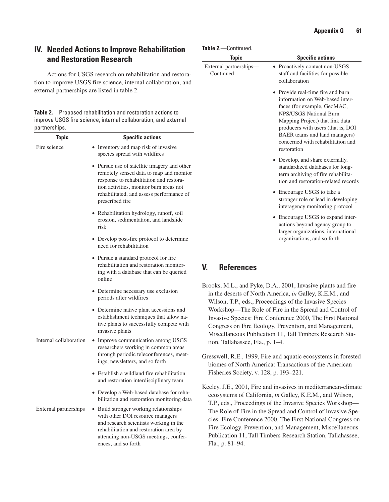### **IV. Needed Actions to Improve Rehabilitation and Restoration Research**

Actions for USGS research on rehabilitation and restoration to improve USGS fire science, internal collaboration, and external partnerships are listed in table 2.

**Table 2.** Proposed rehabilitation and restoration actions to improve USGS fire science, internal collaboration, and external partnerships.

| <b>Topic</b>           | <b>Specific actions</b>                                                                                                                                                                                                                     |
|------------------------|---------------------------------------------------------------------------------------------------------------------------------------------------------------------------------------------------------------------------------------------|
| Fire science           | • Inventory and map risk of invasive<br>species spread with wildfires                                                                                                                                                                       |
|                        | • Pursue use of satellite imagery and other<br>remotely sensed data to map and monitor<br>response to rehabilitation and restora-<br>tion activities, monitor burn areas not<br>rehabilitated, and assess performance of<br>prescribed fire |
|                        | · Rehabilitation hydrology, runoff, soil<br>erosion, sedimentation, and landslide<br>risk                                                                                                                                                   |
|                        | • Develop post-fire protocol to determine<br>need for rehabilitation                                                                                                                                                                        |
|                        | • Pursue a standard protocol for fire<br>rehabilitation and restoration monitor-<br>ing with a database that can be queried<br>online                                                                                                       |
|                        | • Determine necessary use exclusion<br>periods after wildfires                                                                                                                                                                              |
|                        | • Determine native plant accessions and<br>establishment techniques that allow na-<br>tive plants to successfully compete with<br>invasive plants                                                                                           |
| Internal collaboration | • Improve communication among USGS<br>researchers working in common areas<br>through periodic teleconferences, meet-<br>ings, newsletters, and so forth                                                                                     |
|                        | • Establish a wildland fire rehabilitation<br>and restoration interdisciplinary team                                                                                                                                                        |
|                        | • Develop a Web-based database for reha-<br>bilitation and restoration monitoring data                                                                                                                                                      |
| External partnerships  | • Build stronger working relationships<br>with other DOI resource managers<br>and research scientists working in the<br>rehabilitation and restoration area by<br>attending non-USGS meetings, confer-<br>ences, and so forth               |

| <b>Topic</b>                        | <b>Specific actions</b>                                                                                                                                                                                                                                                                     |
|-------------------------------------|---------------------------------------------------------------------------------------------------------------------------------------------------------------------------------------------------------------------------------------------------------------------------------------------|
| External partnerships-<br>Continued | • Proactively contact non-USGS<br>staff and facilities for possible<br>collaboration                                                                                                                                                                                                        |
|                                     | • Provide real-time fire and burn<br>information on Web-based inter-<br>faces (for example, GeoMAC,<br>NPS/USGS National Burn<br>Mapping Project) that link data<br>producers with users (that is, DOI<br>BAER teams and land managers)<br>concerned with rehabilitation and<br>restoration |
|                                     | • Develop, and share externally,<br>standardized databases for long-<br>term archiving of fire rehabilita-<br>tion and restoration-related records                                                                                                                                          |
|                                     | • Encourage USGS to take a<br>stronger role or lead in developing<br>interagency monitoring protocol                                                                                                                                                                                        |
|                                     | • Encourage USGS to expand inter-<br>actions beyond agency group to<br>larger organizations, international<br>organizations, and so forth                                                                                                                                                   |

### **V. References**

- Brooks, M.L., and Pyke, D.A., 2001, Invasive plants and fire in the deserts of North America, *in* Galley, K.E.M., and Wilson, T.P., eds., Proceedings of the Invasive Species Workshop—The Role of Fire in the Spread and Control of Invasive Species: Fire Conference 2000, The First National Congress on Fire Ecology, Prevention, and Management, Miscellaneous Publication 11, Tall Timbers Research Station, Tallahassee, Fla., p. 1–4.
- Gresswell, R.E., 1999, Fire and aquatic ecosystems in forested biomes of North America: Transactions of the American Fisheries Society, v. 128, p. 193–221.
- Keeley, J.E., 2001, Fire and invasives in mediterranean-climate ecosystems of California, *in* Galley, K.E.M., and Wilson, T.P., eds., Proceedings of the Invasive Species Workshop— The Role of Fire in the Spread and Control of Invasive Species: Fire Conference 2000, The First National Congress on Fire Ecology, Prevention, and Management, Miscellaneous Publication 11, Tall Timbers Research Station, Tallahassee, Fla., p. 81–94.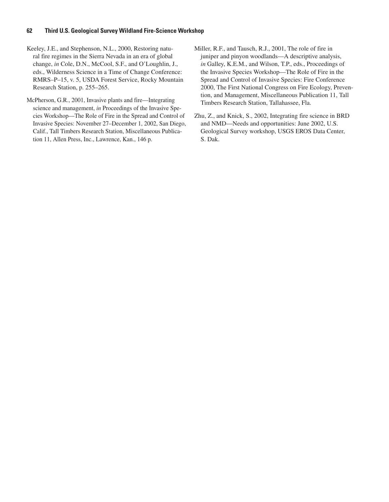#### **62 Third U.S. Geological Survey Wildland Fire-Science Workshop**

- Keeley, J.E., and Stephenson, N.L., 2000, Restoring natural fire regimes in the Sierra Nevada in an era of global change, *in* Cole, D.N., McCool, S.F., and O'Loughlin, J., eds., Wilderness Science in a Time of Change Conference: RMRS–P–15, v. 5, USDA Forest Service, Rocky Mountain Research Station, p. 255–265.
- McPherson, G.R., 2001, Invasive plants and fire—Integrating science and management, *in* Proceedings of the Invasive Species Workshop—The Role of Fire in the Spread and Control of Invasive Species: November 27–December 1, 2002, San Diego, Calif., Tall Timbers Research Station, Miscellaneous Publication 11, Allen Press, Inc., Lawrence, Kan., 146 p.
- Miller, R.F., and Tausch, R.J., 2001, The role of fire in juniper and pinyon woodlands—A descriptive analysis, *in* Galley, K.E.M., and Wilson, T.P., eds., Proceedings of the Invasive Species Workshop—The Role of Fire in the Spread and Control of Invasive Species: Fire Conference 2000, The First National Congress on Fire Ecology, Prevention, and Management, Miscellaneous Publication 11, Tall Timbers Research Station, Tallahassee, Fla.
- Zhu, Z., and Knick, S., 2002, Integrating fire science in BRD and NMD—Needs and opportunities: June 2002, U.S. Geological Survey workshop, USGS EROS Data Center, S. Dak.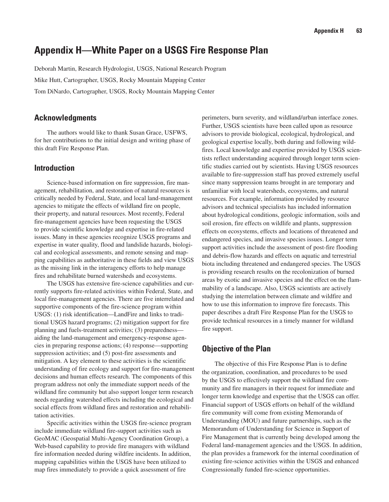## **Appendix H—White Paper on a USGS Fire Response Plan**

Deborah Martin, Research Hydrologist, USGS, National Research Program Mike Hutt, Cartographer, USGS, Rocky Mountain Mapping Center Tom DiNardo, Cartographer, USGS, Rocky Mountain Mapping Center

#### **Acknowledgments**

The authors would like to thank Susan Grace, USFWS, for her contributions to the initial design and writing phase of this draft Fire Response Plan.

#### **Introduction**

Science-based information on fire suppression, fire management, rehabilitation, and restoration of natural resources is critically needed by Federal, State, and local land-management agencies to mitigate the effects of wildland fire on people, their property, and natural resources. Most recently, Federal fire-management agencies have been requesting the USGS to provide scientific knowledge and expertise in fire-related issues. Many in these agencies recognize USGS programs and expertise in water quality, flood and landslide hazards, biological and ecological assessments, and remote sensing and mapping capabilities as authoritative in these fields and view USGS as the missing link in the interagency efforts to help manage fires and rehabilitate burned watersheds and ecosystems.

The USGS has extensive fire-science capabilities and currently supports fire-related activities within Federal, State, and local fire-management agencies. There are five interrelated and supportive components of the fire-science program within USGS: (1) risk identification—LandFire and links to traditional USGS hazard programs; (2) mitigation support for fire planning and fuels-treatment activities; (3) preparedness aiding the land-management and emergency-response agencies in preparing response actions; (4) response—supporting suppression activities; and (5) post-fire assessments and mitigation. A key element to these activities is the scientific understanding of fire ecology and support for fire-management decisions and human effects research. The components of this program address not only the immediate support needs of the wildland fire community but also support longer term research needs regarding watershed effects including the ecological and social effects from wildland fires and restoration and rehabilitation activities.

Specific activities within the USGS fire-science program include immediate wildland fire-support activities such as GeoMAC (Geospatial Multi-Agency Coordination Group), a Web-based capability to provide fire managers with wildland fire information needed during wildfire incidents. In addition, mapping capabilities within the USGS have been utilized to map fires immediately to provide a quick assessment of fire

perimeters, burn severity, and wildland/urban interface zones. Further, USGS scientists have been called upon as resource advisors to provide biological, ecological, hydrological, and geological expertise locally, both during and following wildfires. Local knowledge and expertise provided by USGS scientists reflect understanding acquired through longer term scientific studies carried out by scientists. Having USGS resources available to fire-suppression staff has proved extremely useful since many suppression teams brought in are temporary and unfamiliar with local watersheds, ecosystems, and natural resources. For example, information provided by resource advisors and technical specialists has included information about hydrological conditions, geologic information, soils and soil erosion, fire effects on wildlife and plants, suppression effects on ecosystems, effects and locations of threatened and endangered species, and invasive species issues. Longer term support activities include the assessment of post-fire flooding and debris-flow hazards and effects on aquatic and terrestrial biota including threatened and endangered species. The USGS is providing research results on the recolonization of burned areas by exotic and invasive species and the effect on the flammability of a landscape. Also, USGS scientists are actively studying the interrelation between climate and wildfire and how to use this information to improve fire forecasts. This paper describes a draft Fire Response Plan for the USGS to provide technical resources in a timely manner for wildland fire support.

### **Objective of the Plan**

The objective of this Fire Response Plan is to define the organization, coordination, and procedures to be used by the USGS to effectively support the wildland fire community and fire managers in their request for immediate and longer term knowledge and expertise that the USGS can offer. Financial support of USGS efforts on behalf of the wildland fire community will come from existing Memoranda of Understanding (MOU) and future partnerships, such as the Memorandum of Understanding for Science in Support of Fire Management that is currently being developed among the Federal land-management agencies and the USGS. In addition, the plan provides a framework for the internal coordination of existing fire-science activities within the USGS and enhanced Congressionally funded fire-science opportunities.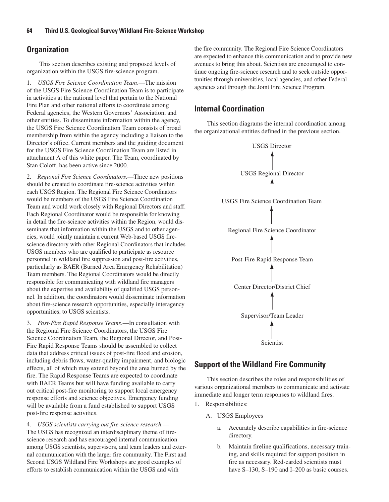### **Organization**

This section describes existing and proposed levels of organization within the USGS fire-science program.

1. *USGS Fire Science Coordination Team*.—The mission of the USGS Fire Science Coordination Team is to participate in activities at the national level that pertain to the National Fire Plan and other national efforts to coordinate among Federal agencies, the Western Governors' Association, and other entities. To disseminate information within the agency, the USGS Fire Science Coordination Team consists of broad membership from within the agency including a liaison to the Director's office. Current members and the guiding document for the USGS Fire Science Coordination Team are listed in attachment A of this white paper. The Team, coordinated by Stan Coloff, has been active since 2000.

2. *Regional Fire Science Coordinators*.—Three new positions should be created to coordinate fire-science activities within each USGS Region. The Regional Fire Science Coordinators would be members of the USGS Fire Science Coordination Team and would work closely with Regional Directors and staff. Each Regional Coordinator would be responsible for knowing in detail the fire-science activities within the Region, would disseminate that information within the USGS and to other agencies, would jointly maintain a current Web-based USGS firescience directory with other Regional Coordinators that includes USGS members who are qualified to participate as resource personnel in wildland fire suppression and post-fire activities, particularly as BAER (Burned Area Emergency Rehabilitation) Team members. The Regional Coordinators would be directly responsible for communicating with wildland fire managers about the expertise and availability of qualified USGS personnel. In addition, the coordinators would disseminate information about fire-science research opportunities, especially interagency opportunities, to USGS scientists.

3. *Post-Fire Rapid Response Teams*.—In consultation with the Regional Fire Science Coordinators, the USGS Fire Science Coordination Team, the Regional Director, and Post-Fire Rapid Response Teams should be assembled to collect data that address critical issues of post-fire flood and erosion, including debris flows, water-quality impairment, and biologic effects, all of which may extend beyond the area burned by the fire. The Rapid Response Teams are expected to coordinate with BAER Teams but will have funding available to carry out critical post-fire monitoring to support local emergency response efforts and science objectives. Emergency funding will be available from a fund established to support USGS post-fire response activities.

4. *USGS scientists carrying out fire-science research*.— The USGS has recognized an interdisciplinary theme of firescience research and has encouraged internal communication among USGS scientists, supervisors, and team leaders and external communication with the larger fire community. The First and Second USGS Wildland Fire Workshops are good examples of efforts to establish communication within the USGS and with

the fire community. The Regional Fire Science Coordinators are expected to enhance this communication and to provide new avenues to bring this about. Scientists are encouraged to continue ongoing fire-science research and to seek outside opportunities through universities, local agencies, and other Federal agencies and through the Joint Fire Science Program.

### **Internal Coordination**

This section diagrams the internal coordination among the organizational entities defined in the previous section.



### **Support of the Wildland Fire Community**

This section describes the roles and responsibilities of various organizational members to communicate and activate immediate and longer term responses to wildland fires.

- 1. Responsibilities:
	- A. USGS Employees
		- a. Accurately describe capabilities in fire-science directory.
		- b. Maintain fireline qualifications, necessary training, and skills required for support position in fire as necessary. Red-carded scientists must have S–130, S–190 and I–200 as basic courses.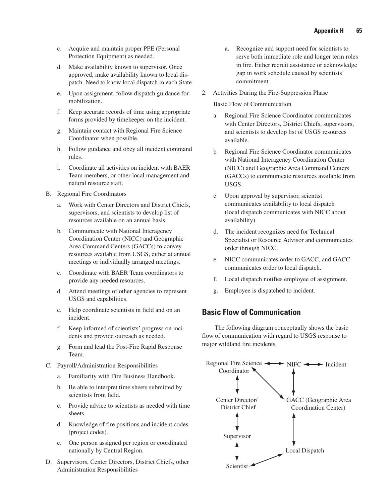- c. Acquire and maintain proper PPE (Personal Protection Equipment) as needed.
- d. Make availability known to supervisor. Once approved, make availability known to local dispatch. Need to know local dispatch in each State.
- e. Upon assignment, follow dispatch guidance for mobilization.
- f. Keep accurate records of time using appropriate forms provided by timekeeper on the incident.
- g. Maintain contact with Regional Fire Science Coordinator when possible.
- h. Follow guidance and obey all incident command rules.
- i. Coordinate all activities on incident with BAER Team members, or other local management and natural resource staff.
- B. Regional Fire Coordinators
	- a. Work with Center Directors and District Chiefs, supervisors, and scientists to develop list of resources available on an annual basis.
	- b. Communicate with National Interagency Coordination Center (NICC) and Geographic Area Command Centers (GACCs) to convey resources available from USGS, either at annual meetings or individually arranged meetings.
	- c. Coordinate with BAER Team coordinators to provide any needed resources.
	- d. Attend meetings of other agencies to represent USGS and capabilities.
	- e. Help coordinate scientists in field and on an incident.
	- f. Keep informed of scientists' progress on incidents and provide outreach as needed.
	- g. Form and lead the Post-Fire Rapid Response Team.
- C. Payroll/Administration Responsibilities
	- a. Familiarity with Fire Business Handbook.
	- b. Be able to interpret time sheets submitted by scientists from field.
	- c. Provide advice to scientists as needed with time sheets.
	- d. Knowledge of fire positions and incident codes (project codes).
	- e. One person assigned per region or coordinated nationally by Central Region.
- D. Supervisors, Center Directors, District Chiefs, other Administration Responsibilities
- a. Recognize and support need for scientists to serve both immediate role and longer term roles in fire. Either recruit assistance or acknowledge gap in work schedule caused by scientists' commitment.
- 2. Activities During the Fire-Suppression Phase

#### Basic Flow of Communication

- Regional Fire Science Coordinator communicates with Center Directors, District Chiefs, supervisors, and scientists to develop list of USGS resources available.
- b. Regional Fire Science Coordinator communicates with National Interagency Coordination Center (NICC) and Geographic Area Command Centers (GACCs) to communicate resources available from USGS.
- c. Upon approval by supervisor, scientist communicates availability to local dispatch (local dispatch communicates with NICC about availability).
- d. The incident recognizes need for Technical Specialist or Resource Advisor and communicates order through NICC.
- e. NICC communicates order to GACC, and GACC communicates order to local dispatch.
- f. Local dispatch notifies employee of assignment.
- Employee is dispatched to incident.

### **Basic Flow of Communication**

The following diagram conceptually shows the basic flow of communication with regard to USGS response to major wildland fire incidents.

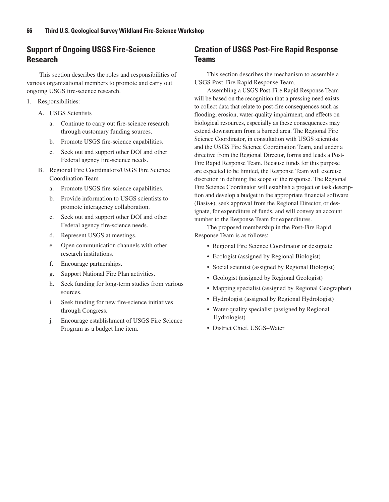## **Support of Ongoing USGS Fire-Science Research**

This section describes the roles and responsibilities of various organizational members to promote and carry out ongoing USGS fire-science research.

- 1. Responsibilities:
	- A. USGS Scientists
		- a. Continue to carry out fire-science research through customary funding sources.
		- b. Promote USGS fire-science capabilities.
		- c. Seek out and support other DOI and other Federal agency fire-science needs.
	- B. Regional Fire Coordinators/USGS Fire Science Coordination Team
		- a. Promote USGS fire-science capabilities.
		- b. Provide information to USGS scientists to promote interagency collaboration.
		- c. Seek out and support other DOI and other Federal agency fire-science needs.
		- d. Represent USGS at meetings.
		- e. Open communication channels with other research institutions.
		- f. Encourage partnerships.
		- g. Support National Fire Plan activities.
		- h. Seek funding for long-term studies from various sources.
		- i. Seek funding for new fire-science initiatives through Congress.
		- j. Encourage establishment of USGS Fire Science Program as a budget line item.

### **Creation of USGS Post-Fire Rapid Response Teams**

This section describes the mechanism to assemble a USGS Post-Fire Rapid Response Team.

Assembling a USGS Post-Fire Rapid Response Team will be based on the recognition that a pressing need exists to collect data that relate to post-fire consequences such as flooding, erosion, water-quality impairment, and effects on biological resources, especially as these consequences may extend downstream from a burned area. The Regional Fire Science Coordinator, in consultation with USGS scientists and the USGS Fire Science Coordination Team, and under a directive from the Regional Director, forms and leads a Post-Fire Rapid Response Team. Because funds for this purpose are expected to be limited, the Response Team will exercise discretion in defining the scope of the response. The Regional Fire Science Coordinator will establish a project or task description and develop a budget in the appropriate financial software (Basis+), seek approval from the Regional Director, or designate, for expenditure of funds, and will convey an account number to the Response Team for expenditures.

The proposed membership in the Post-Fire Rapid Response Team is as follows:

- Regional Fire Science Coordinator or designate
- Ecologist (assigned by Regional Biologist)
- Social scientist (assigned by Regional Biologist)
- Geologist (assigned by Regional Geologist)
- Mapping specialist (assigned by Regional Geographer)
- Hydrologist (assigned by Regional Hydrologist)
- Water-quality specialist (assigned by Regional Hydrologist)
- District Chief, USGS–Water